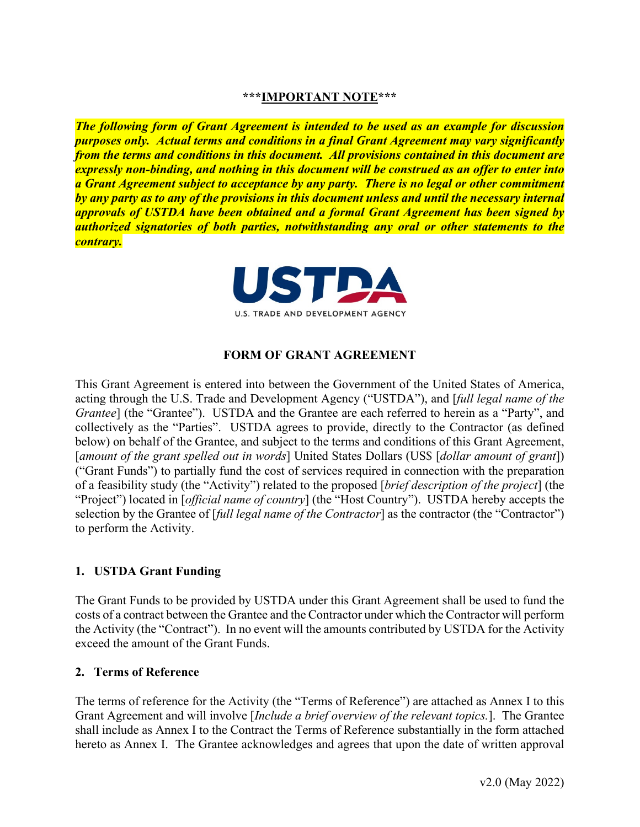# **\*\*\*IMPORTANT NOTE\*\*\***

*The following form of Grant Agreement is intended to be used as an example for discussion purposes only. Actual terms and conditions in a final Grant Agreement may vary significantly from the terms and conditions in this document. All provisions contained in this document are expressly non-binding, and nothing in this document will be construed as an offer to enter into a Grant Agreement subject to acceptance by any party. There is no legal or other commitment by any party as to any of the provisions in this document unless and until the necessary internal approvals of USTDA have been obtained and a formal Grant Agreement has been signed by authorized signatories of both parties, notwithstanding any oral or other statements to the contrary.*



# **FORM OF GRANT AGREEMENT**

This Grant Agreement is entered into between the Government of the United States of America, acting through the U.S. Trade and Development Agency ("USTDA"), and [*full legal name of the Grantee*] (the "Grantee"). USTDA and the Grantee are each referred to herein as a "Party", and collectively as the "Parties". USTDA agrees to provide, directly to the Contractor (as defined below) on behalf of the Grantee, and subject to the terms and conditions of this Grant Agreement, [*amount of the grant spelled out in words*] United States Dollars (US\$ [*dollar amount of grant*]) ("Grant Funds") to partially fund the cost of services required in connection with the preparation of a feasibility study (the "Activity") related to the proposed [*brief description of the project*] (the "Project") located in [*official name of country*] (the "Host Country"). USTDA hereby accepts the selection by the Grantee of [*full legal name of the Contractor*] as the contractor (the "Contractor") to perform the Activity.

## **1. USTDA Grant Funding**

The Grant Funds to be provided by USTDA under this Grant Agreement shall be used to fund the costs of a contract between the Grantee and the Contractor under which the Contractor will perform the Activity (the "Contract"). In no event will the amounts contributed by USTDA for the Activity exceed the amount of the Grant Funds.

## **2. Terms of Reference**

The terms of reference for the Activity (the "Terms of Reference") are attached as Annex I to this Grant Agreement and will involve [*Include a brief overview of the relevant topics.*]. The Grantee shall include as Annex I to the Contract the Terms of Reference substantially in the form attached hereto as Annex I. The Grantee acknowledges and agrees that upon the date of written approval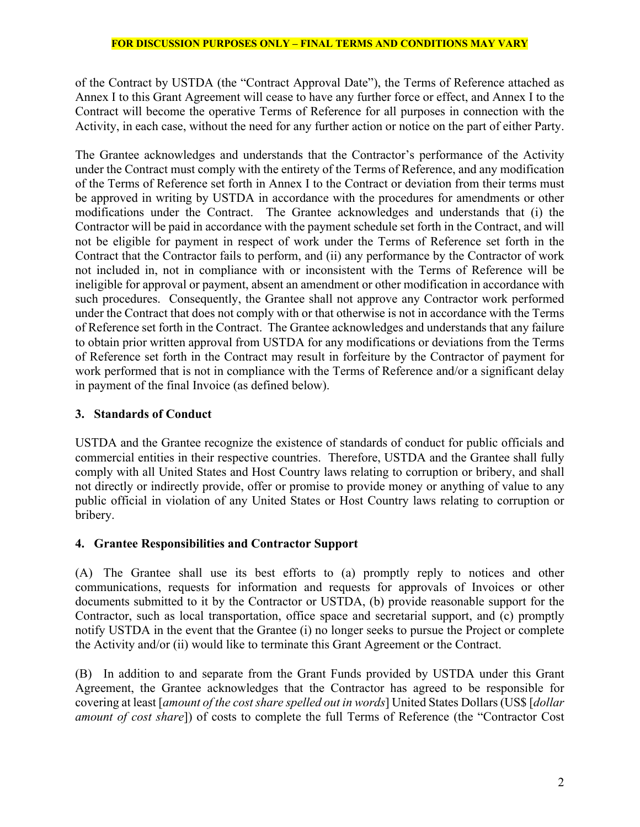of the Contract by USTDA (the "Contract Approval Date"), the Terms of Reference attached as Annex I to this Grant Agreement will cease to have any further force or effect, and Annex I to the Contract will become the operative Terms of Reference for all purposes in connection with the Activity, in each case, without the need for any further action or notice on the part of either Party.

The Grantee acknowledges and understands that the Contractor's performance of the Activity under the Contract must comply with the entirety of the Terms of Reference, and any modification of the Terms of Reference set forth in Annex I to the Contract or deviation from their terms must be approved in writing by USTDA in accordance with the procedures for amendments or other modifications under the Contract. The Grantee acknowledges and understands that (i) the Contractor will be paid in accordance with the payment schedule set forth in the Contract, and will not be eligible for payment in respect of work under the Terms of Reference set forth in the Contract that the Contractor fails to perform, and (ii) any performance by the Contractor of work not included in, not in compliance with or inconsistent with the Terms of Reference will be ineligible for approval or payment, absent an amendment or other modification in accordance with such procedures. Consequently, the Grantee shall not approve any Contractor work performed under the Contract that does not comply with or that otherwise is not in accordance with the Terms of Reference set forth in the Contract. The Grantee acknowledges and understands that any failure to obtain prior written approval from USTDA for any modifications or deviations from the Terms of Reference set forth in the Contract may result in forfeiture by the Contractor of payment for work performed that is not in compliance with the Terms of Reference and/or a significant delay in payment of the final Invoice (as defined below).

# **3. Standards of Conduct**

USTDA and the Grantee recognize the existence of standards of conduct for public officials and commercial entities in their respective countries. Therefore, USTDA and the Grantee shall fully comply with all United States and Host Country laws relating to corruption or bribery, and shall not directly or indirectly provide, offer or promise to provide money or anything of value to any public official in violation of any United States or Host Country laws relating to corruption or bribery.

## **4. Grantee Responsibilities and Contractor Support**

(A) The Grantee shall use its best efforts to (a) promptly reply to notices and other communications, requests for information and requests for approvals of Invoices or other documents submitted to it by the Contractor or USTDA, (b) provide reasonable support for the Contractor, such as local transportation, office space and secretarial support, and (c) promptly notify USTDA in the event that the Grantee (i) no longer seeks to pursue the Project or complete the Activity and/or (ii) would like to terminate this Grant Agreement or the Contract.

(B) In addition to and separate from the Grant Funds provided by USTDA under this Grant Agreement, the Grantee acknowledges that the Contractor has agreed to be responsible for covering at least [*amount of the cost share spelled out in words*] United States Dollars (US\$ [*dollar amount of cost share*]) of costs to complete the full Terms of Reference (the "Contractor Cost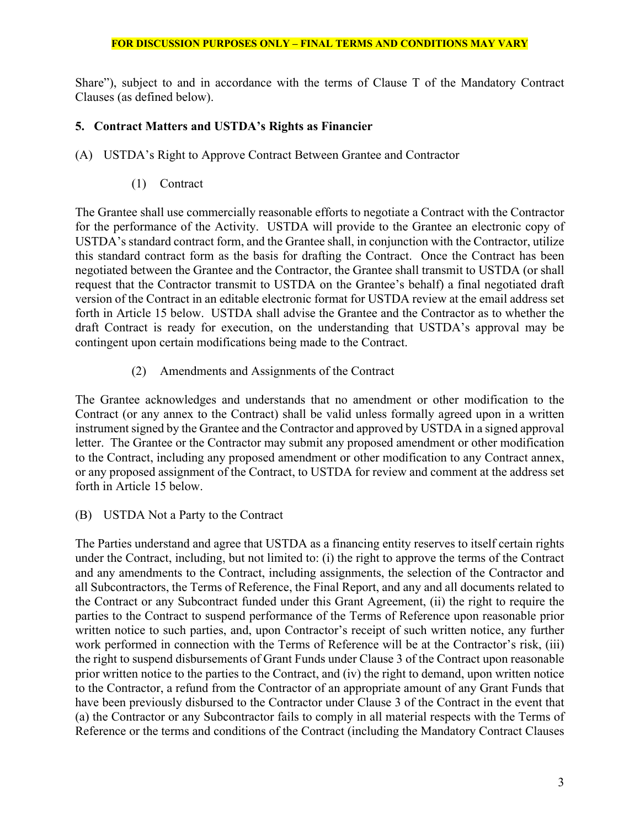Share"), subject to and in accordance with the terms of Clause T of the Mandatory Contract Clauses (as defined below).

## **5. Contract Matters and USTDA's Rights as Financier**

- (A) USTDA's Right to Approve Contract Between Grantee and Contractor
	- (1) Contract

The Grantee shall use commercially reasonable efforts to negotiate a Contract with the Contractor for the performance of the Activity. USTDA will provide to the Grantee an electronic copy of USTDA's standard contract form, and the Grantee shall, in conjunction with the Contractor, utilize this standard contract form as the basis for drafting the Contract. Once the Contract has been negotiated between the Grantee and the Contractor, the Grantee shall transmit to USTDA (or shall request that the Contractor transmit to USTDA on the Grantee's behalf) a final negotiated draft version of the Contract in an editable electronic format for USTDA review at the email address set forth in Article 15 below. USTDA shall advise the Grantee and the Contractor as to whether the draft Contract is ready for execution, on the understanding that USTDA's approval may be contingent upon certain modifications being made to the Contract.

(2) Amendments and Assignments of the Contract

The Grantee acknowledges and understands that no amendment or other modification to the Contract (or any annex to the Contract) shall be valid unless formally agreed upon in a written instrument signed by the Grantee and the Contractor and approved by USTDA in a signed approval letter. The Grantee or the Contractor may submit any proposed amendment or other modification to the Contract, including any proposed amendment or other modification to any Contract annex, or any proposed assignment of the Contract, to USTDA for review and comment at the address set forth in Article 15 below.

(B) USTDA Not a Party to the Contract

The Parties understand and agree that USTDA as a financing entity reserves to itself certain rights under the Contract, including, but not limited to: (i) the right to approve the terms of the Contract and any amendments to the Contract, including assignments, the selection of the Contractor and all Subcontractors, the Terms of Reference, the Final Report, and any and all documents related to the Contract or any Subcontract funded under this Grant Agreement, (ii) the right to require the parties to the Contract to suspend performance of the Terms of Reference upon reasonable prior written notice to such parties, and, upon Contractor's receipt of such written notice, any further work performed in connection with the Terms of Reference will be at the Contractor's risk, (iii) the right to suspend disbursements of Grant Funds under Clause 3 of the Contract upon reasonable prior written notice to the parties to the Contract, and (iv) the right to demand, upon written notice to the Contractor, a refund from the Contractor of an appropriate amount of any Grant Funds that have been previously disbursed to the Contractor under Clause 3 of the Contract in the event that (a) the Contractor or any Subcontractor fails to comply in all material respects with the Terms of Reference or the terms and conditions of the Contract (including the Mandatory Contract Clauses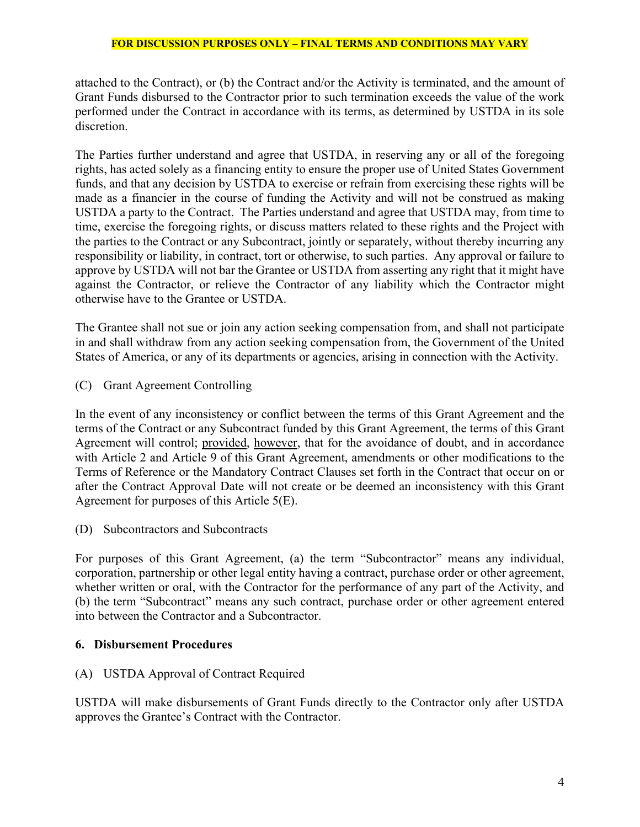attached to the Contract), or (b) the Contract and/or the Activity is terminated, and the amount of Grant Funds disbursed to the Contractor prior to such termination exceeds the value of the work performed under the Contract in accordance with its terms, as determined by USTDA in its sole discretion.

The Parties further understand and agree that USTDA, in reserving any or all of the foregoing rights, has acted solely as a financing entity to ensure the proper use of United States Government funds, and that any decision by USTDA to exercise or refrain from exercising these rights will be made as a financier in the course of funding the Activity and will not be construed as making USTDA a party to the Contract. The Parties understand and agree that USTDA may, from time to time, exercise the foregoing rights, or discuss matters related to these rights and the Project with the parties to the Contract or any Subcontract, jointly or separately, without thereby incurring any responsibility or liability, in contract, tort or otherwise, to such parties. Any approval or failure to approve by USTDA will not bar the Grantee or USTDA from asserting any right that it might have against the Contractor, or relieve the Contractor of any liability which the Contractor might otherwise have to the Grantee or USTDA.

The Grantee shall not sue or join any action seeking compensation from, and shall not participate in and shall withdraw from any action seeking compensation from, the Government of the United States of America, or any of its departments or agencies, arising in connection with the Activity.

(C) Grant Agreement Controlling

In the event of any inconsistency or conflict between the terms of this Grant Agreement and the terms of the Contract or any Subcontract funded by this Grant Agreement, the terms of this Grant Agreement will control; provided, however, that for the avoidance of doubt, and in accordance with Article 2 and Article 9 of this Grant Agreement, amendments or other modifications to the Terms of Reference or the Mandatory Contract Clauses set forth in the Contract that occur on or after the Contract Approval Date will not create or be deemed an inconsistency with this Grant Agreement for purposes of this Article 5(E).

(D) Subcontractors and Subcontracts

For purposes of this Grant Agreement, (a) the term "Subcontractor" means any individual, corporation, partnership or other legal entity having a contract, purchase order or other agreement, whether written or oral, with the Contractor for the performance of any part of the Activity, and (b) the term "Subcontract" means any such contract, purchase order or other agreement entered into between the Contractor and a Subcontractor.

## **6. Disbursement Procedures**

(A) USTDA Approval of Contract Required

USTDA will make disbursements of Grant Funds directly to the Contractor only after USTDA approves the Grantee's Contract with the Contractor.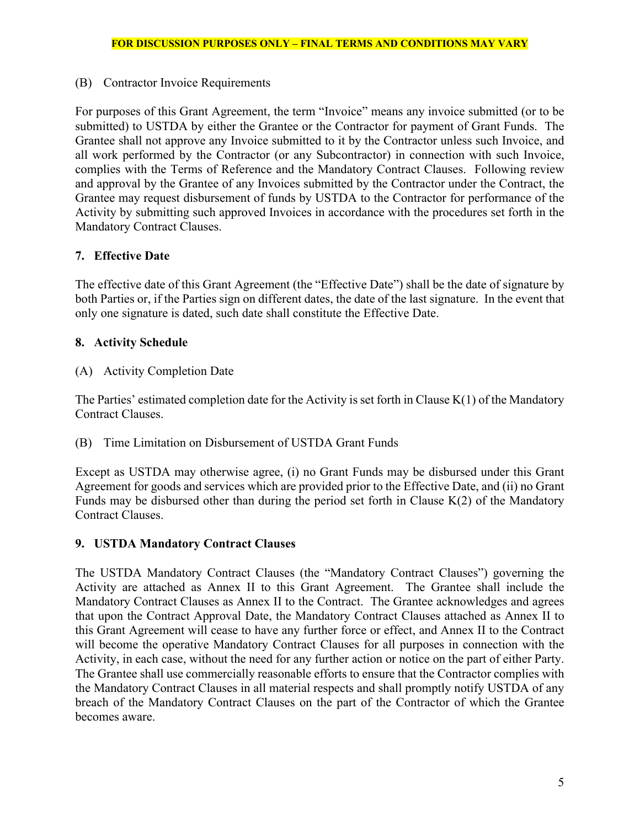(B) Contractor Invoice Requirements

For purposes of this Grant Agreement, the term "Invoice" means any invoice submitted (or to be submitted) to USTDA by either the Grantee or the Contractor for payment of Grant Funds. The Grantee shall not approve any Invoice submitted to it by the Contractor unless such Invoice, and all work performed by the Contractor (or any Subcontractor) in connection with such Invoice, complies with the Terms of Reference and the Mandatory Contract Clauses. Following review and approval by the Grantee of any Invoices submitted by the Contractor under the Contract, the Grantee may request disbursement of funds by USTDA to the Contractor for performance of the Activity by submitting such approved Invoices in accordance with the procedures set forth in the Mandatory Contract Clauses.

# **7. Effective Date**

The effective date of this Grant Agreement (the "Effective Date") shall be the date of signature by both Parties or, if the Parties sign on different dates, the date of the last signature. In the event that only one signature is dated, such date shall constitute the Effective Date.

# **8. Activity Schedule**

(A) Activity Completion Date

The Parties' estimated completion date for the Activity is set forth in Clause K(1) of the Mandatory Contract Clauses.

(B) Time Limitation on Disbursement of USTDA Grant Funds

Except as USTDA may otherwise agree, (i) no Grant Funds may be disbursed under this Grant Agreement for goods and services which are provided prior to the Effective Date, and (ii) no Grant Funds may be disbursed other than during the period set forth in Clause K(2) of the Mandatory Contract Clauses.

## **9. USTDA Mandatory Contract Clauses**

The USTDA Mandatory Contract Clauses (the "Mandatory Contract Clauses") governing the Activity are attached as Annex II to this Grant Agreement. The Grantee shall include the Mandatory Contract Clauses as Annex II to the Contract. The Grantee acknowledges and agrees that upon the Contract Approval Date, the Mandatory Contract Clauses attached as Annex II to this Grant Agreement will cease to have any further force or effect, and Annex II to the Contract will become the operative Mandatory Contract Clauses for all purposes in connection with the Activity, in each case, without the need for any further action or notice on the part of either Party. The Grantee shall use commercially reasonable efforts to ensure that the Contractor complies with the Mandatory Contract Clauses in all material respects and shall promptly notify USTDA of any breach of the Mandatory Contract Clauses on the part of the Contractor of which the Grantee becomes aware.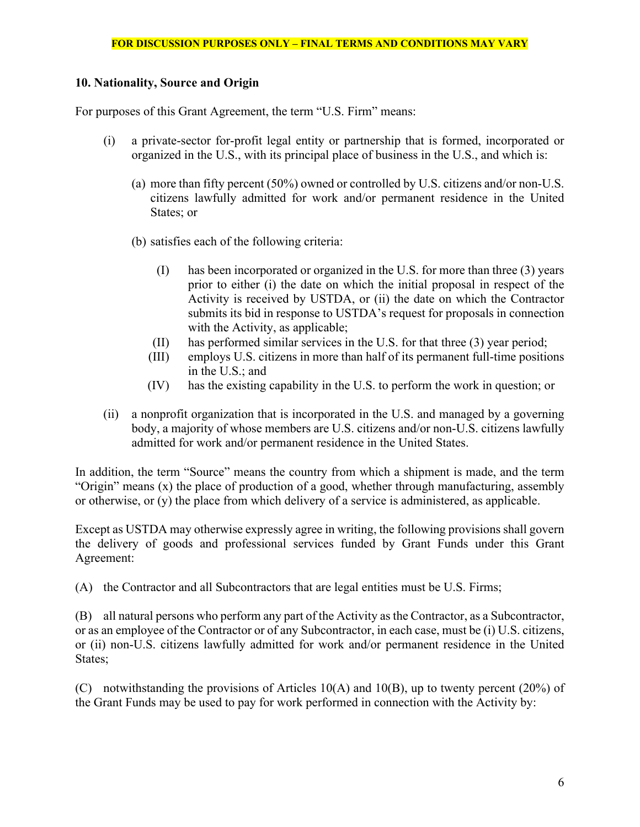# **10. Nationality, Source and Origin**

For purposes of this Grant Agreement, the term "U.S. Firm" means:

- (i) a private-sector for-profit legal entity or partnership that is formed, incorporated or organized in the U.S., with its principal place of business in the U.S., and which is:
	- (a) more than fifty percent (50%) owned or controlled by U.S. citizens and/or non-U.S. citizens lawfully admitted for work and/or permanent residence in the United States; or
	- (b) satisfies each of the following criteria:
		- (I) has been incorporated or organized in the U.S. for more than three (3) years prior to either (i) the date on which the initial proposal in respect of the Activity is received by USTDA, or (ii) the date on which the Contractor submits its bid in response to USTDA's request for proposals in connection with the Activity, as applicable;
		- (II) has performed similar services in the U.S. for that three (3) year period;
		- (III) employs U.S. citizens in more than half of its permanent full-time positions in the U.S.; and
		- (IV) has the existing capability in the U.S. to perform the work in question; or
- (ii) a nonprofit organization that is incorporated in the U.S. and managed by a governing body, a majority of whose members are U.S. citizens and/or non-U.S. citizens lawfully admitted for work and/or permanent residence in the United States.

In addition, the term "Source" means the country from which a shipment is made, and the term "Origin" means (x) the place of production of a good, whether through manufacturing, assembly or otherwise, or (y) the place from which delivery of a service is administered, as applicable.

Except as USTDA may otherwise expressly agree in writing, the following provisions shall govern the delivery of goods and professional services funded by Grant Funds under this Grant Agreement:

(A) the Contractor and all Subcontractors that are legal entities must be U.S. Firms;

(B) all natural persons who perform any part of the Activity as the Contractor, as a Subcontractor, or as an employee of the Contractor or of any Subcontractor, in each case, must be (i) U.S. citizens, or (ii) non-U.S. citizens lawfully admitted for work and/or permanent residence in the United States;

(C) notwithstanding the provisions of Articles 10(A) and 10(B), up to twenty percent (20%) of the Grant Funds may be used to pay for work performed in connection with the Activity by: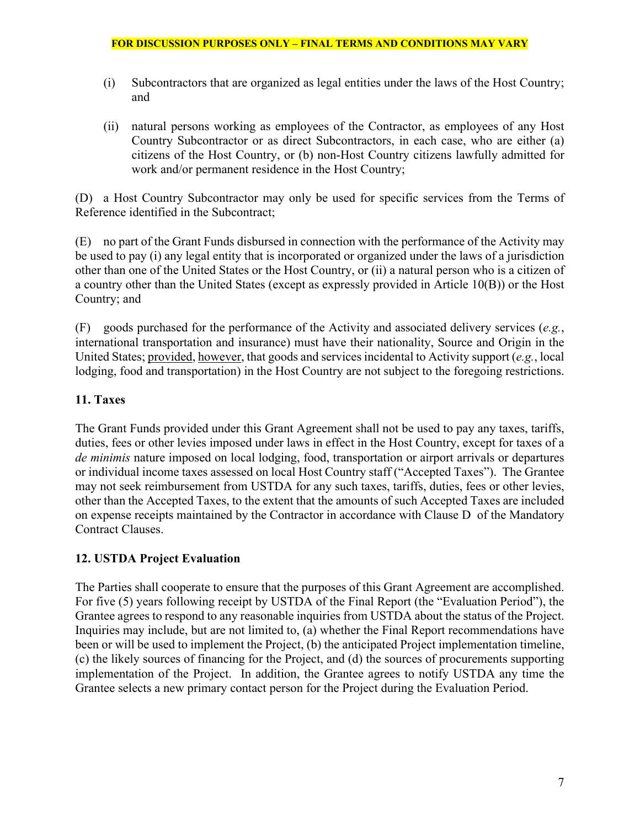- (i) Subcontractors that are organized as legal entities under the laws of the Host Country; and
- (ii) natural persons working as employees of the Contractor, as employees of any Host Country Subcontractor or as direct Subcontractors, in each case, who are either (a) citizens of the Host Country, or (b) non-Host Country citizens lawfully admitted for work and/or permanent residence in the Host Country;

(D) a Host Country Subcontractor may only be used for specific services from the Terms of Reference identified in the Subcontract;

(E) no part of the Grant Funds disbursed in connection with the performance of the Activity may be used to pay (i) any legal entity that is incorporated or organized under the laws of a jurisdiction other than one of the United States or the Host Country, or (ii) a natural person who is a citizen of a country other than the United States (except as expressly provided in Article 10(B)) or the Host Country; and

(F) goods purchased for the performance of the Activity and associated delivery services (*e.g.*, international transportation and insurance) must have their nationality, Source and Origin in the United States; provided, however, that goods and services incidental to Activity support (*e.g.*, local lodging, food and transportation) in the Host Country are not subject to the foregoing restrictions.

# **11. Taxes**

The Grant Funds provided under this Grant Agreement shall not be used to pay any taxes, tariffs, duties, fees or other levies imposed under laws in effect in the Host Country, except for taxes of a *de minimis* nature imposed on local lodging, food, transportation or airport arrivals or departures or individual income taxes assessed on local Host Country staff ("Accepted Taxes"). The Grantee may not seek reimbursement from USTDA for any such taxes, tariffs, duties, fees or other levies, other than the Accepted Taxes, to the extent that the amounts of such Accepted Taxes are included on expense receipts maintained by the Contractor in accordance with Clause D of the Mandatory Contract Clauses.

# **12. USTDA Project Evaluation**

The Parties shall cooperate to ensure that the purposes of this Grant Agreement are accomplished. For five (5) years following receipt by USTDA of the Final Report (the "Evaluation Period"), the Grantee agrees to respond to any reasonable inquiries from USTDA about the status of the Project. Inquiries may include, but are not limited to, (a) whether the Final Report recommendations have been or will be used to implement the Project, (b) the anticipated Project implementation timeline, (c) the likely sources of financing for the Project, and (d) the sources of procurements supporting implementation of the Project. In addition, the Grantee agrees to notify USTDA any time the Grantee selects a new primary contact person for the Project during the Evaluation Period.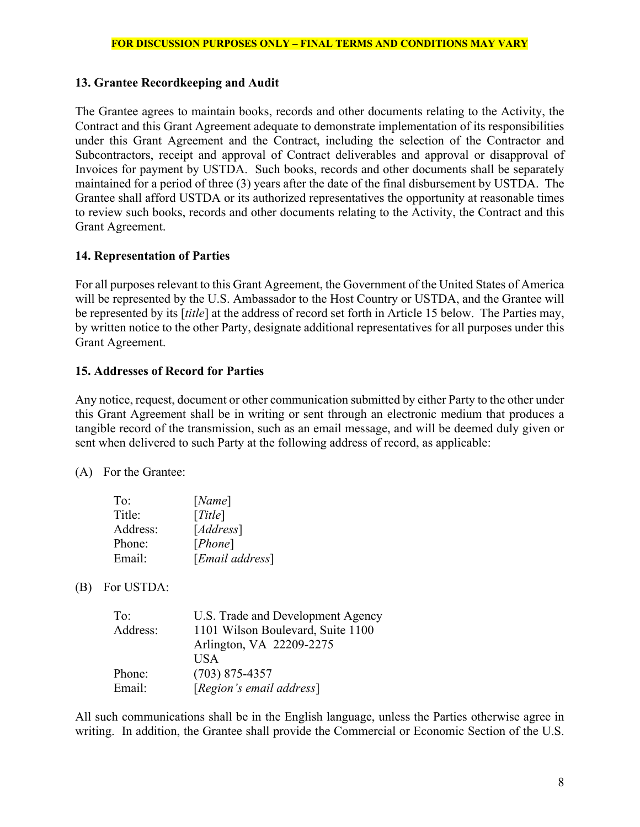## **13. Grantee Recordkeeping and Audit**

The Grantee agrees to maintain books, records and other documents relating to the Activity, the Contract and this Grant Agreement adequate to demonstrate implementation of its responsibilities under this Grant Agreement and the Contract, including the selection of the Contractor and Subcontractors, receipt and approval of Contract deliverables and approval or disapproval of Invoices for payment by USTDA. Such books, records and other documents shall be separately maintained for a period of three (3) years after the date of the final disbursement by USTDA. The Grantee shall afford USTDA or its authorized representatives the opportunity at reasonable times to review such books, records and other documents relating to the Activity, the Contract and this Grant Agreement.

# **14. Representation of Parties**

For all purposes relevant to this Grant Agreement, the Government of the United States of America will be represented by the U.S. Ambassador to the Host Country or USTDA, and the Grantee will be represented by its [*title*] at the address of record set forth in Article 15 below. The Parties may, by written notice to the other Party, designate additional representatives for all purposes under this Grant Agreement.

# **15. Addresses of Record for Parties**

Any notice, request, document or other communication submitted by either Party to the other under this Grant Agreement shall be in writing or sent through an electronic medium that produces a tangible record of the transmission, such as an email message, and will be deemed duly given or sent when delivered to such Party at the following address of record, as applicable:

(A) For the Grantee:

| To:      | [Name]                   |
|----------|--------------------------|
| Title:   | [Title]                  |
| Address: | [Address]                |
| Phone:   | [Phone]                  |
| Email:   | [ <i>Email address</i> ] |

(B) For USTDA:

| To:      | U.S. Trade and Development Agency |
|----------|-----------------------------------|
| Address: | 1101 Wilson Boulevard, Suite 1100 |
|          | Arlington, VA 22209-2275          |
|          | US A                              |
| Phone:   | $(703)$ 875-4357                  |
| Email:   | [Region's email address]          |

All such communications shall be in the English language, unless the Parties otherwise agree in writing. In addition, the Grantee shall provide the Commercial or Economic Section of the U.S.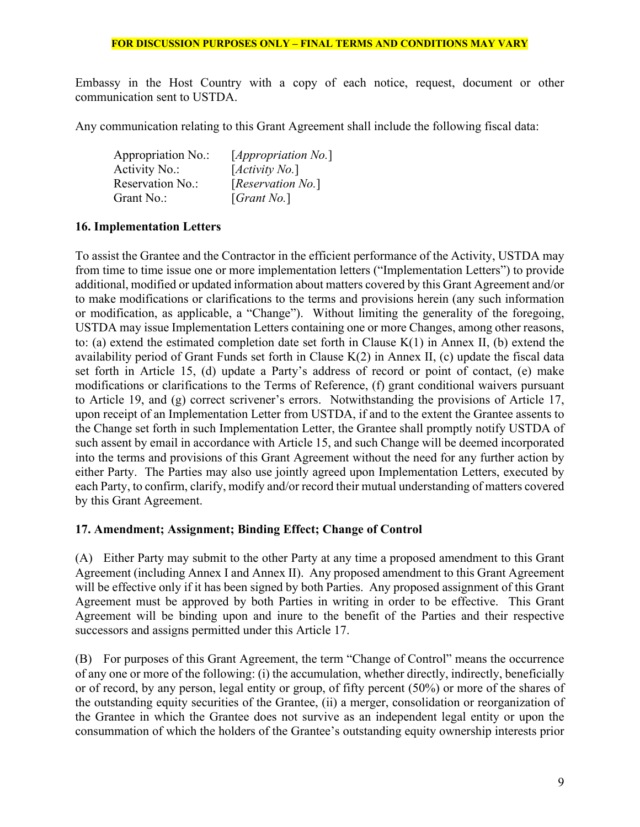Embassy in the Host Country with a copy of each notice, request, document or other communication sent to USTDA.

Any communication relating to this Grant Agreement shall include the following fiscal data:

| Appropriation No.:      | [ <i>Appropriation No.</i> ] |
|-------------------------|------------------------------|
| Activity No.:           | [Activity No.]               |
| <b>Reservation No.:</b> | [Reservation No.]            |
| Grant No.:              | [ <i>Grant No.</i> ]         |

## **16. Implementation Letters**

To assist the Grantee and the Contractor in the efficient performance of the Activity, USTDA may from time to time issue one or more implementation letters ("Implementation Letters") to provide additional, modified or updated information about matters covered by this Grant Agreement and/or to make modifications or clarifications to the terms and provisions herein (any such information or modification, as applicable, a "Change"). Without limiting the generality of the foregoing, USTDA may issue Implementation Letters containing one or more Changes, among other reasons, to: (a) extend the estimated completion date set forth in Clause K(1) in Annex II, (b) extend the availability period of Grant Funds set forth in Clause K(2) in Annex II, (c) update the fiscal data set forth in Article 15, (d) update a Party's address of record or point of contact, (e) make modifications or clarifications to the Terms of Reference, (f) grant conditional waivers pursuant to Article 19, and (g) correct scrivener's errors. Notwithstanding the provisions of Article 17, upon receipt of an Implementation Letter from USTDA, if and to the extent the Grantee assents to the Change set forth in such Implementation Letter, the Grantee shall promptly notify USTDA of such assent by email in accordance with Article 15, and such Change will be deemed incorporated into the terms and provisions of this Grant Agreement without the need for any further action by either Party. The Parties may also use jointly agreed upon Implementation Letters, executed by each Party, to confirm, clarify, modify and/or record their mutual understanding of matters covered by this Grant Agreement.

## **17. Amendment; Assignment; Binding Effect; Change of Control**

(A) Either Party may submit to the other Party at any time a proposed amendment to this Grant Agreement (including Annex I and Annex II). Any proposed amendment to this Grant Agreement will be effective only if it has been signed by both Parties. Any proposed assignment of this Grant Agreement must be approved by both Parties in writing in order to be effective. This Grant Agreement will be binding upon and inure to the benefit of the Parties and their respective successors and assigns permitted under this Article 17.

(B) For purposes of this Grant Agreement, the term "Change of Control" means the occurrence of any one or more of the following: (i) the accumulation, whether directly, indirectly, beneficially or of record, by any person, legal entity or group, of fifty percent (50%) or more of the shares of the outstanding equity securities of the Grantee, (ii) a merger, consolidation or reorganization of the Grantee in which the Grantee does not survive as an independent legal entity or upon the consummation of which the holders of the Grantee's outstanding equity ownership interests prior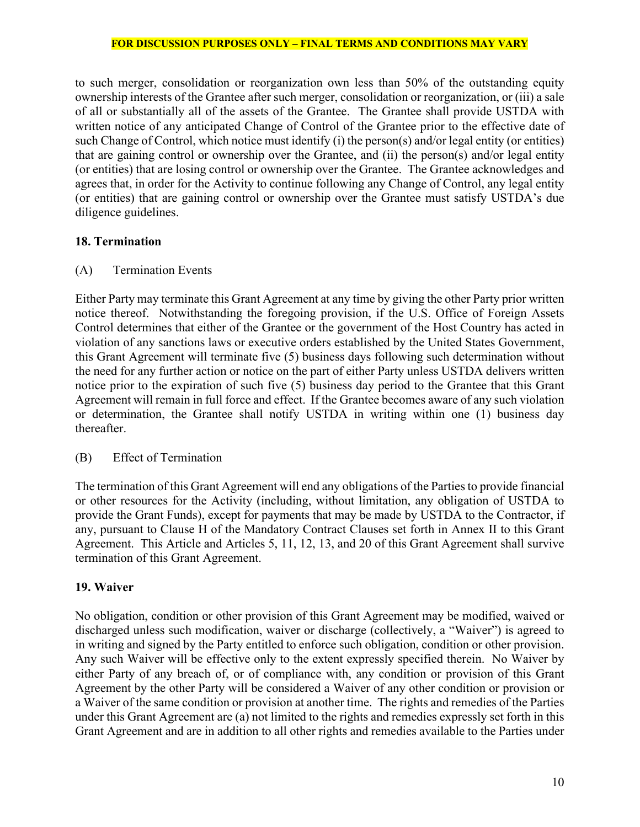to such merger, consolidation or reorganization own less than 50% of the outstanding equity ownership interests of the Grantee after such merger, consolidation or reorganization, or (iii) a sale of all or substantially all of the assets of the Grantee. The Grantee shall provide USTDA with written notice of any anticipated Change of Control of the Grantee prior to the effective date of such Change of Control, which notice must identify (i) the person(s) and/or legal entity (or entities) that are gaining control or ownership over the Grantee, and (ii) the person(s) and/or legal entity (or entities) that are losing control or ownership over the Grantee. The Grantee acknowledges and agrees that, in order for the Activity to continue following any Change of Control, any legal entity (or entities) that are gaining control or ownership over the Grantee must satisfy USTDA's due diligence guidelines.

## **18. Termination**

(A) Termination Events

Either Party may terminate this Grant Agreement at any time by giving the other Party prior written notice thereof. Notwithstanding the foregoing provision, if the U.S. Office of Foreign Assets Control determines that either of the Grantee or the government of the Host Country has acted in violation of any sanctions laws or executive orders established by the United States Government, this Grant Agreement will terminate five (5) business days following such determination without the need for any further action or notice on the part of either Party unless USTDA delivers written notice prior to the expiration of such five (5) business day period to the Grantee that this Grant Agreement will remain in full force and effect. If the Grantee becomes aware of any such violation or determination, the Grantee shall notify USTDA in writing within one (1) business day thereafter.

### (B) Effect of Termination

The termination of this Grant Agreement will end any obligations of the Parties to provide financial or other resources for the Activity (including, without limitation, any obligation of USTDA to provide the Grant Funds), except for payments that may be made by USTDA to the Contractor, if any, pursuant to Clause H of the Mandatory Contract Clauses set forth in Annex II to this Grant Agreement. This Article and Articles 5, 11, 12, 13, and 20 of this Grant Agreement shall survive termination of this Grant Agreement.

## **19. Waiver**

No obligation, condition or other provision of this Grant Agreement may be modified, waived or discharged unless such modification, waiver or discharge (collectively, a "Waiver") is agreed to in writing and signed by the Party entitled to enforce such obligation, condition or other provision. Any such Waiver will be effective only to the extent expressly specified therein. No Waiver by either Party of any breach of, or of compliance with, any condition or provision of this Grant Agreement by the other Party will be considered a Waiver of any other condition or provision or a Waiver of the same condition or provision at another time. The rights and remedies of the Parties under this Grant Agreement are (a) not limited to the rights and remedies expressly set forth in this Grant Agreement and are in addition to all other rights and remedies available to the Parties under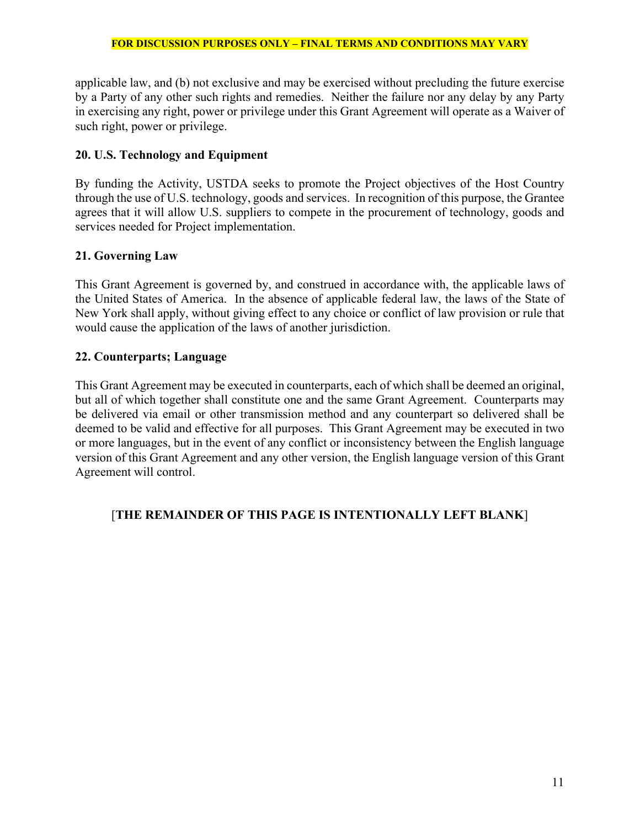applicable law, and (b) not exclusive and may be exercised without precluding the future exercise by a Party of any other such rights and remedies. Neither the failure nor any delay by any Party in exercising any right, power or privilege under this Grant Agreement will operate as a Waiver of such right, power or privilege.

# **20. U.S. Technology and Equipment**

By funding the Activity, USTDA seeks to promote the Project objectives of the Host Country through the use of U.S. technology, goods and services. In recognition of this purpose, the Grantee agrees that it will allow U.S. suppliers to compete in the procurement of technology, goods and services needed for Project implementation.

# **21. Governing Law**

This Grant Agreement is governed by, and construed in accordance with, the applicable laws of the United States of America. In the absence of applicable federal law, the laws of the State of New York shall apply, without giving effect to any choice or conflict of law provision or rule that would cause the application of the laws of another jurisdiction.

# **22. Counterparts; Language**

This Grant Agreement may be executed in counterparts, each of which shall be deemed an original, but all of which together shall constitute one and the same Grant Agreement. Counterparts may be delivered via email or other transmission method and any counterpart so delivered shall be deemed to be valid and effective for all purposes. This Grant Agreement may be executed in two or more languages, but in the event of any conflict or inconsistency between the English language version of this Grant Agreement and any other version, the English language version of this Grant Agreement will control.

# [**THE REMAINDER OF THIS PAGE IS INTENTIONALLY LEFT BLANK**]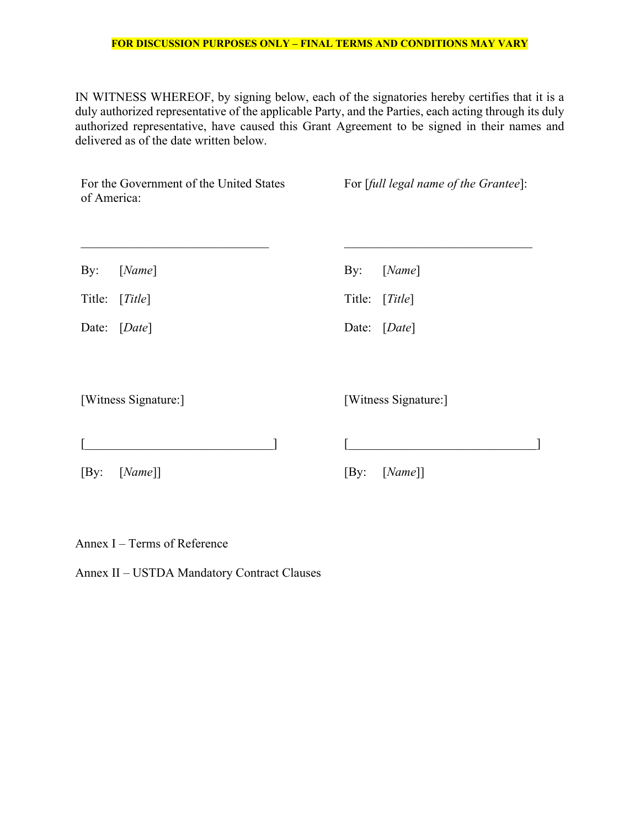IN WITNESS WHEREOF, by signing below, each of the signatories hereby certifies that it is a duly authorized representative of the applicable Party, and the Parties, each acting through its duly authorized representative, have caused this Grant Agreement to be signed in their names and delivered as of the date written below.

| For the Government of the United States<br>of America: | For [full legal name of the Grantee]: |
|--------------------------------------------------------|---------------------------------------|
| By: [ <i>Name</i> ]                                    | $\mathbf{By:}$<br>[Name]              |
| Title:<br>[Title]                                      | Title: [Title]                        |
| Date: [Date]                                           | Date: [ <i>Date</i> ]                 |
| [Witness Signature:]                                   | [Witness Signature:]                  |
|                                                        |                                       |
| [By: [Name]]                                           | [By: [Name]]                          |

Annex I – Terms of Reference

Annex II – USTDA Mandatory Contract Clauses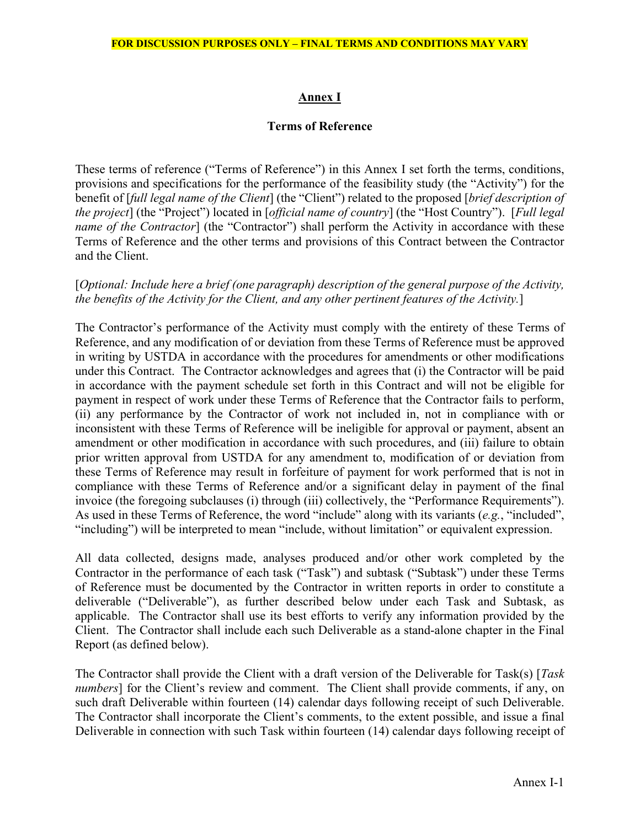# **Annex I**

## **Terms of Reference**

These terms of reference ("Terms of Reference") in this Annex I set forth the terms, conditions, provisions and specifications for the performance of the feasibility study (the "Activity") for the benefit of [*full legal name of the Client*] (the "Client") related to the proposed [*brief description of the project*] (the "Project") located in [*official name of country*] (the "Host Country"). [*Full legal name of the Contractor*] (the "Contractor") shall perform the Activity in accordance with these Terms of Reference and the other terms and provisions of this Contract between the Contractor and the Client.

## [*Optional: Include here a brief (one paragraph) description of the general purpose of the Activity, the benefits of the Activity for the Client, and any other pertinent features of the Activity.*]

The Contractor's performance of the Activity must comply with the entirety of these Terms of Reference, and any modification of or deviation from these Terms of Reference must be approved in writing by USTDA in accordance with the procedures for amendments or other modifications under this Contract. The Contractor acknowledges and agrees that (i) the Contractor will be paid in accordance with the payment schedule set forth in this Contract and will not be eligible for payment in respect of work under these Terms of Reference that the Contractor fails to perform, (ii) any performance by the Contractor of work not included in, not in compliance with or inconsistent with these Terms of Reference will be ineligible for approval or payment, absent an amendment or other modification in accordance with such procedures, and (iii) failure to obtain prior written approval from USTDA for any amendment to, modification of or deviation from these Terms of Reference may result in forfeiture of payment for work performed that is not in compliance with these Terms of Reference and/or a significant delay in payment of the final invoice (the foregoing subclauses (i) through (iii) collectively, the "Performance Requirements"). As used in these Terms of Reference, the word "include" along with its variants (*e.g.*, "included", "including") will be interpreted to mean "include, without limitation" or equivalent expression.

All data collected, designs made, analyses produced and/or other work completed by the Contractor in the performance of each task ("Task") and subtask ("Subtask") under these Terms of Reference must be documented by the Contractor in written reports in order to constitute a deliverable ("Deliverable"), as further described below under each Task and Subtask, as applicable. The Contractor shall use its best efforts to verify any information provided by the Client. The Contractor shall include each such Deliverable as a stand-alone chapter in the Final Report (as defined below).

The Contractor shall provide the Client with a draft version of the Deliverable for Task(s) [*Task numbers*] for the Client's review and comment. The Client shall provide comments, if any, on such draft Deliverable within fourteen (14) calendar days following receipt of such Deliverable. The Contractor shall incorporate the Client's comments, to the extent possible, and issue a final Deliverable in connection with such Task within fourteen (14) calendar days following receipt of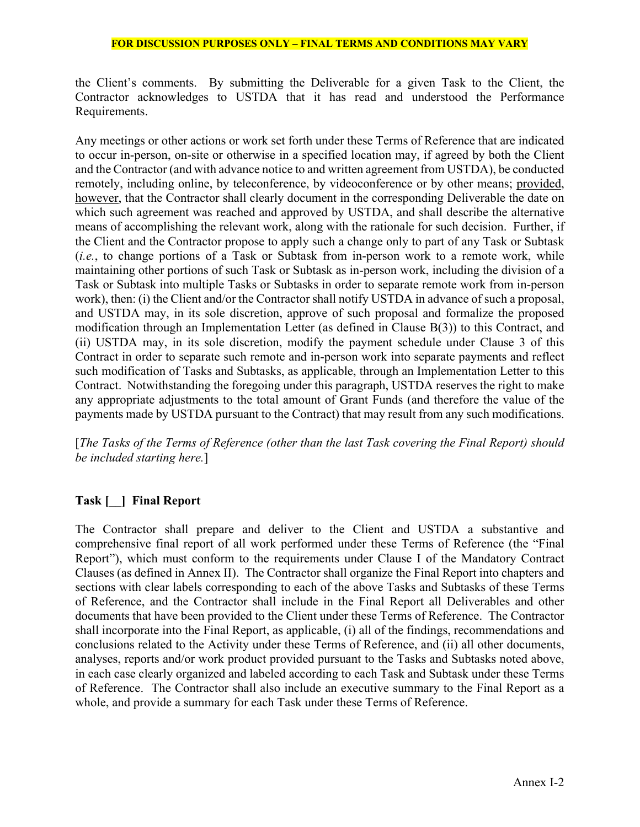the Client's comments. By submitting the Deliverable for a given Task to the Client, the Contractor acknowledges to USTDA that it has read and understood the Performance Requirements.

Any meetings or other actions or work set forth under these Terms of Reference that are indicated to occur in-person, on-site or otherwise in a specified location may, if agreed by both the Client and the Contractor (and with advance notice to and written agreement from USTDA), be conducted remotely, including online, by teleconference, by videoconference or by other means; provided, however, that the Contractor shall clearly document in the corresponding Deliverable the date on which such agreement was reached and approved by USTDA, and shall describe the alternative means of accomplishing the relevant work, along with the rationale for such decision. Further, if the Client and the Contractor propose to apply such a change only to part of any Task or Subtask (*i.e.*, to change portions of a Task or Subtask from in-person work to a remote work, while maintaining other portions of such Task or Subtask as in-person work, including the division of a Task or Subtask into multiple Tasks or Subtasks in order to separate remote work from in-person work), then: (i) the Client and/or the Contractor shall notify USTDA in advance of such a proposal, and USTDA may, in its sole discretion, approve of such proposal and formalize the proposed modification through an Implementation Letter (as defined in Clause B(3)) to this Contract, and (ii) USTDA may, in its sole discretion, modify the payment schedule under Clause 3 of this Contract in order to separate such remote and in-person work into separate payments and reflect such modification of Tasks and Subtasks, as applicable, through an Implementation Letter to this Contract. Notwithstanding the foregoing under this paragraph, USTDA reserves the right to make any appropriate adjustments to the total amount of Grant Funds (and therefore the value of the payments made by USTDA pursuant to the Contract) that may result from any such modifications.

[*The Tasks of the Terms of Reference (other than the last Task covering the Final Report) should be included starting here.*]

# **Task [\_\_] Final Report**

The Contractor shall prepare and deliver to the Client and USTDA a substantive and comprehensive final report of all work performed under these Terms of Reference (the "Final Report"), which must conform to the requirements under Clause I of the Mandatory Contract Clauses (as defined in Annex II). The Contractor shall organize the Final Report into chapters and sections with clear labels corresponding to each of the above Tasks and Subtasks of these Terms of Reference, and the Contractor shall include in the Final Report all Deliverables and other documents that have been provided to the Client under these Terms of Reference. The Contractor shall incorporate into the Final Report, as applicable, (i) all of the findings, recommendations and conclusions related to the Activity under these Terms of Reference, and (ii) all other documents, analyses, reports and/or work product provided pursuant to the Tasks and Subtasks noted above, in each case clearly organized and labeled according to each Task and Subtask under these Terms of Reference. The Contractor shall also include an executive summary to the Final Report as a whole, and provide a summary for each Task under these Terms of Reference.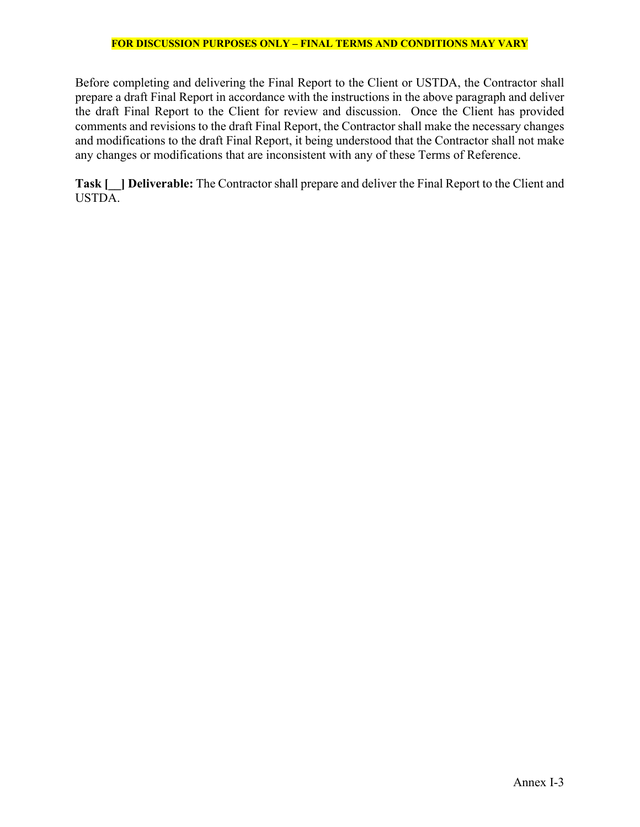Before completing and delivering the Final Report to the Client or USTDA, the Contractor shall prepare a draft Final Report in accordance with the instructions in the above paragraph and deliver the draft Final Report to the Client for review and discussion. Once the Client has provided comments and revisions to the draft Final Report, the Contractor shall make the necessary changes and modifications to the draft Final Report, it being understood that the Contractor shall not make any changes or modifications that are inconsistent with any of these Terms of Reference.

**Task [\_\_] Deliverable:** The Contractor shall prepare and deliver the Final Report to the Client and USTDA.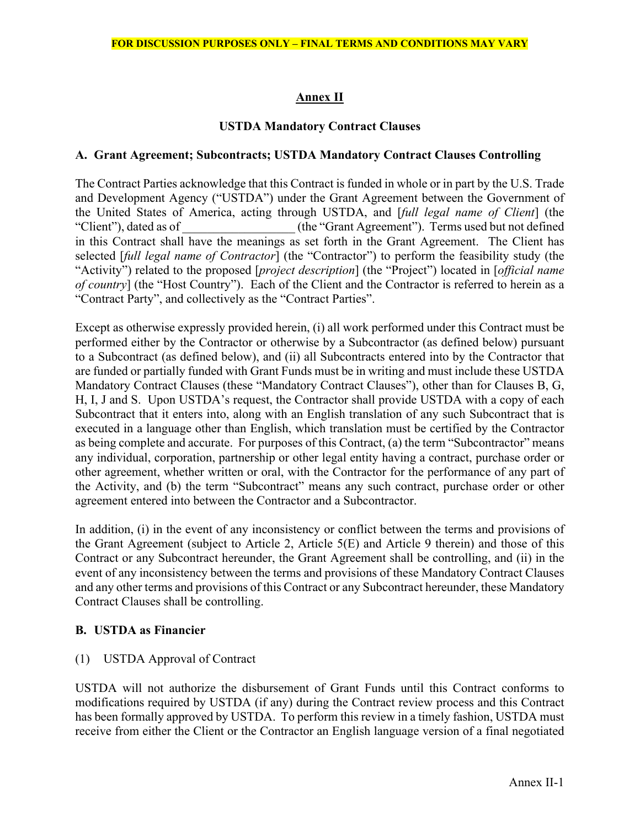# **Annex II**

# **USTDA Mandatory Contract Clauses**

## **A. Grant Agreement; Subcontracts; USTDA Mandatory Contract Clauses Controlling**

The Contract Parties acknowledge that this Contract is funded in whole or in part by the U.S. Trade and Development Agency ("USTDA") under the Grant Agreement between the Government of the United States of America, acting through USTDA, and [*full legal name of Client*] (the "Client"), dated as of  $($ the "Grant Agreement"). Terms used but not defined in this Contract shall have the meanings as set forth in the Grant Agreement. The Client has selected [*full legal name of Contractor*] (the "Contractor") to perform the feasibility study (the "Activity") related to the proposed [*project description*] (the "Project") located in [*official name of country*] (the "Host Country"). Each of the Client and the Contractor is referred to herein as a "Contract Party", and collectively as the "Contract Parties".

Except as otherwise expressly provided herein, (i) all work performed under this Contract must be performed either by the Contractor or otherwise by a Subcontractor (as defined below) pursuant to a Subcontract (as defined below), and (ii) all Subcontracts entered into by the Contractor that are funded or partially funded with Grant Funds must be in writing and must include these USTDA Mandatory Contract Clauses (these "Mandatory Contract Clauses"), other than for Clauses B, G, H, I, J and S. Upon USTDA's request, the Contractor shall provide USTDA with a copy of each Subcontract that it enters into, along with an English translation of any such Subcontract that is executed in a language other than English, which translation must be certified by the Contractor as being complete and accurate. For purposes of this Contract, (a) the term "Subcontractor" means any individual, corporation, partnership or other legal entity having a contract, purchase order or other agreement, whether written or oral, with the Contractor for the performance of any part of the Activity, and (b) the term "Subcontract" means any such contract, purchase order or other agreement entered into between the Contractor and a Subcontractor.

In addition, (i) in the event of any inconsistency or conflict between the terms and provisions of the Grant Agreement (subject to Article 2, Article 5(E) and Article 9 therein) and those of this Contract or any Subcontract hereunder, the Grant Agreement shall be controlling, and (ii) in the event of any inconsistency between the terms and provisions of these Mandatory Contract Clauses and any other terms and provisions of this Contract or any Subcontract hereunder, these Mandatory Contract Clauses shall be controlling.

# **B. USTDA as Financier**

(1) USTDA Approval of Contract

USTDA will not authorize the disbursement of Grant Funds until this Contract conforms to modifications required by USTDA (if any) during the Contract review process and this Contract has been formally approved by USTDA. To perform this review in a timely fashion, USTDA must receive from either the Client or the Contractor an English language version of a final negotiated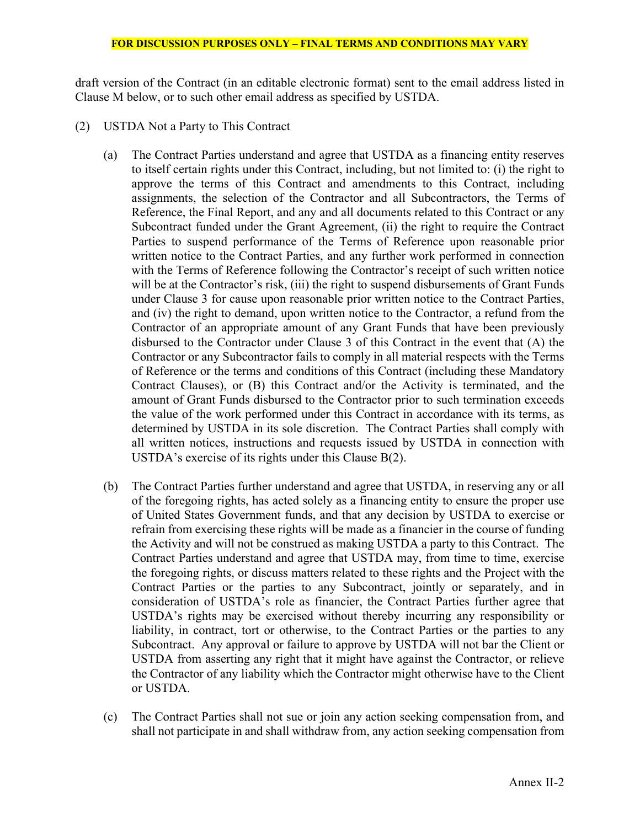draft version of the Contract (in an editable electronic format) sent to the email address listed in Clause M below, or to such other email address as specified by USTDA.

- (2) USTDA Not a Party to This Contract
	- (a) The Contract Parties understand and agree that USTDA as a financing entity reserves to itself certain rights under this Contract, including, but not limited to: (i) the right to approve the terms of this Contract and amendments to this Contract, including assignments, the selection of the Contractor and all Subcontractors, the Terms of Reference, the Final Report, and any and all documents related to this Contract or any Subcontract funded under the Grant Agreement, (ii) the right to require the Contract Parties to suspend performance of the Terms of Reference upon reasonable prior written notice to the Contract Parties, and any further work performed in connection with the Terms of Reference following the Contractor's receipt of such written notice will be at the Contractor's risk, (iii) the right to suspend disbursements of Grant Funds under Clause 3 for cause upon reasonable prior written notice to the Contract Parties, and (iv) the right to demand, upon written notice to the Contractor, a refund from the Contractor of an appropriate amount of any Grant Funds that have been previously disbursed to the Contractor under Clause 3 of this Contract in the event that (A) the Contractor or any Subcontractor fails to comply in all material respects with the Terms of Reference or the terms and conditions of this Contract (including these Mandatory Contract Clauses), or (B) this Contract and/or the Activity is terminated, and the amount of Grant Funds disbursed to the Contractor prior to such termination exceeds the value of the work performed under this Contract in accordance with its terms, as determined by USTDA in its sole discretion. The Contract Parties shall comply with all written notices, instructions and requests issued by USTDA in connection with USTDA's exercise of its rights under this Clause B(2).
	- (b) The Contract Parties further understand and agree that USTDA, in reserving any or all of the foregoing rights, has acted solely as a financing entity to ensure the proper use of United States Government funds, and that any decision by USTDA to exercise or refrain from exercising these rights will be made as a financier in the course of funding the Activity and will not be construed as making USTDA a party to this Contract. The Contract Parties understand and agree that USTDA may, from time to time, exercise the foregoing rights, or discuss matters related to these rights and the Project with the Contract Parties or the parties to any Subcontract, jointly or separately, and in consideration of USTDA's role as financier, the Contract Parties further agree that USTDA's rights may be exercised without thereby incurring any responsibility or liability, in contract, tort or otherwise, to the Contract Parties or the parties to any Subcontract. Any approval or failure to approve by USTDA will not bar the Client or USTDA from asserting any right that it might have against the Contractor, or relieve the Contractor of any liability which the Contractor might otherwise have to the Client or USTDA.
	- (c) The Contract Parties shall not sue or join any action seeking compensation from, and shall not participate in and shall withdraw from, any action seeking compensation from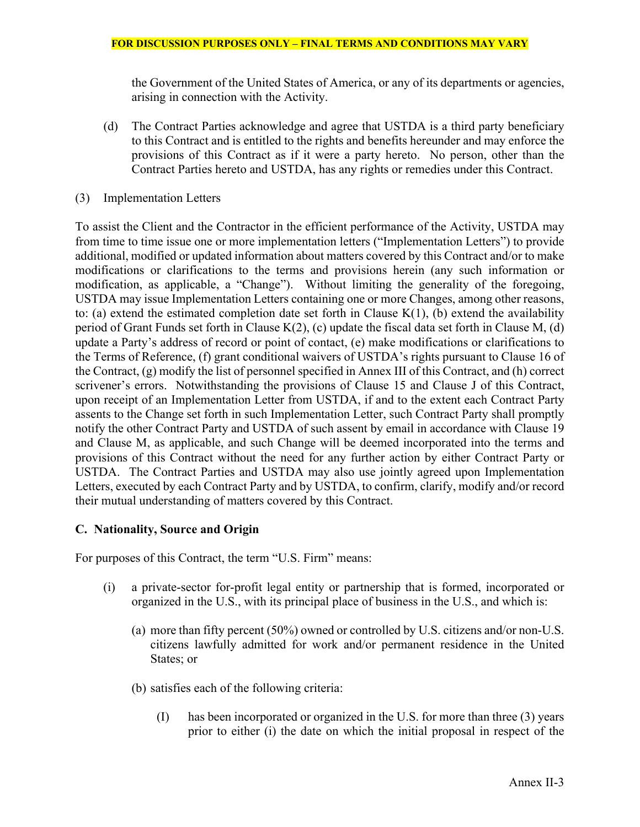the Government of the United States of America, or any of its departments or agencies, arising in connection with the Activity.

- (d) The Contract Parties acknowledge and agree that USTDA is a third party beneficiary to this Contract and is entitled to the rights and benefits hereunder and may enforce the provisions of this Contract as if it were a party hereto. No person, other than the Contract Parties hereto and USTDA, has any rights or remedies under this Contract.
- (3) Implementation Letters

To assist the Client and the Contractor in the efficient performance of the Activity, USTDA may from time to time issue one or more implementation letters ("Implementation Letters") to provide additional, modified or updated information about matters covered by this Contract and/or to make modifications or clarifications to the terms and provisions herein (any such information or modification, as applicable, a "Change"). Without limiting the generality of the foregoing, USTDA may issue Implementation Letters containing one or more Changes, among other reasons, to: (a) extend the estimated completion date set forth in Clause  $K(1)$ , (b) extend the availability period of Grant Funds set forth in Clause K(2), (c) update the fiscal data set forth in Clause M, (d) update a Party's address of record or point of contact, (e) make modifications or clarifications to the Terms of Reference, (f) grant conditional waivers of USTDA's rights pursuant to Clause 16 of the Contract, (g) modify the list of personnel specified in Annex III of this Contract, and (h) correct scrivener's errors. Notwithstanding the provisions of Clause 15 and Clause J of this Contract, upon receipt of an Implementation Letter from USTDA, if and to the extent each Contract Party assents to the Change set forth in such Implementation Letter, such Contract Party shall promptly notify the other Contract Party and USTDA of such assent by email in accordance with Clause 19 and Clause M, as applicable, and such Change will be deemed incorporated into the terms and provisions of this Contract without the need for any further action by either Contract Party or USTDA. The Contract Parties and USTDA may also use jointly agreed upon Implementation Letters, executed by each Contract Party and by USTDA, to confirm, clarify, modify and/or record their mutual understanding of matters covered by this Contract.

## **C. Nationality, Source and Origin**

For purposes of this Contract, the term "U.S. Firm" means:

- (i) a private-sector for-profit legal entity or partnership that is formed, incorporated or organized in the U.S., with its principal place of business in the U.S., and which is:
	- (a) more than fifty percent (50%) owned or controlled by U.S. citizens and/or non-U.S. citizens lawfully admitted for work and/or permanent residence in the United States; or
	- (b) satisfies each of the following criteria:
		- (I) has been incorporated or organized in the U.S. for more than three (3) years prior to either (i) the date on which the initial proposal in respect of the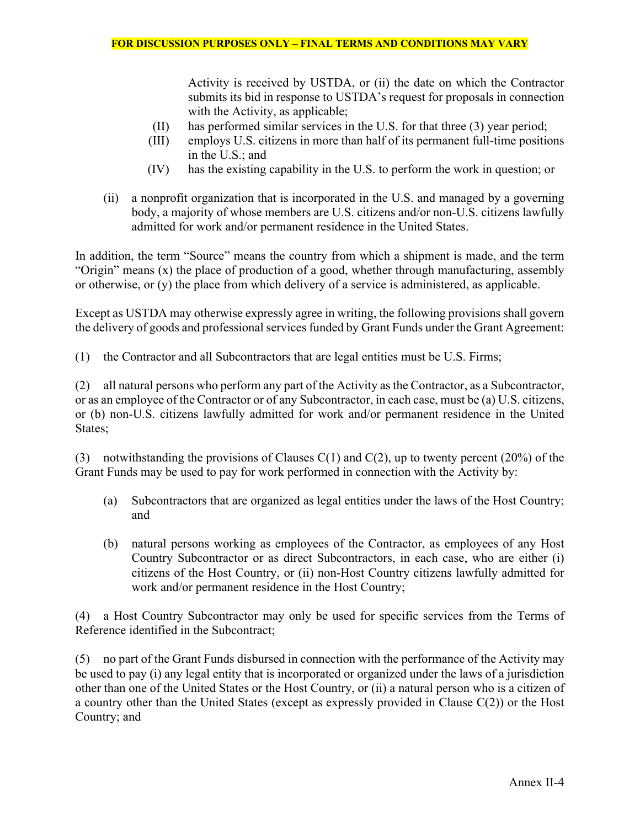Activity is received by USTDA, or (ii) the date on which the Contractor submits its bid in response to USTDA's request for proposals in connection with the Activity, as applicable;

- (II) has performed similar services in the U.S. for that three (3) year period;
- (III) employs U.S. citizens in more than half of its permanent full-time positions in the U.S.; and
- (IV) has the existing capability in the U.S. to perform the work in question; or
- (ii) a nonprofit organization that is incorporated in the U.S. and managed by a governing body, a majority of whose members are U.S. citizens and/or non-U.S. citizens lawfully admitted for work and/or permanent residence in the United States.

In addition, the term "Source" means the country from which a shipment is made, and the term "Origin" means (x) the place of production of a good, whether through manufacturing, assembly or otherwise, or (y) the place from which delivery of a service is administered, as applicable.

Except as USTDA may otherwise expressly agree in writing, the following provisions shall govern the delivery of goods and professional services funded by Grant Funds under the Grant Agreement:

(1) the Contractor and all Subcontractors that are legal entities must be U.S. Firms;

(2) all natural persons who perform any part of the Activity as the Contractor, as a Subcontractor, or as an employee of the Contractor or of any Subcontractor, in each case, must be (a) U.S. citizens, or (b) non-U.S. citizens lawfully admitted for work and/or permanent residence in the United States;

(3) notwithstanding the provisions of Clauses  $C(1)$  and  $C(2)$ , up to twenty percent (20%) of the Grant Funds may be used to pay for work performed in connection with the Activity by:

- (a) Subcontractors that are organized as legal entities under the laws of the Host Country; and
- (b) natural persons working as employees of the Contractor, as employees of any Host Country Subcontractor or as direct Subcontractors, in each case, who are either (i) citizens of the Host Country, or (ii) non-Host Country citizens lawfully admitted for work and/or permanent residence in the Host Country;

(4) a Host Country Subcontractor may only be used for specific services from the Terms of Reference identified in the Subcontract;

(5) no part of the Grant Funds disbursed in connection with the performance of the Activity may be used to pay (i) any legal entity that is incorporated or organized under the laws of a jurisdiction other than one of the United States or the Host Country, or (ii) a natural person who is a citizen of a country other than the United States (except as expressly provided in Clause C(2)) or the Host Country; and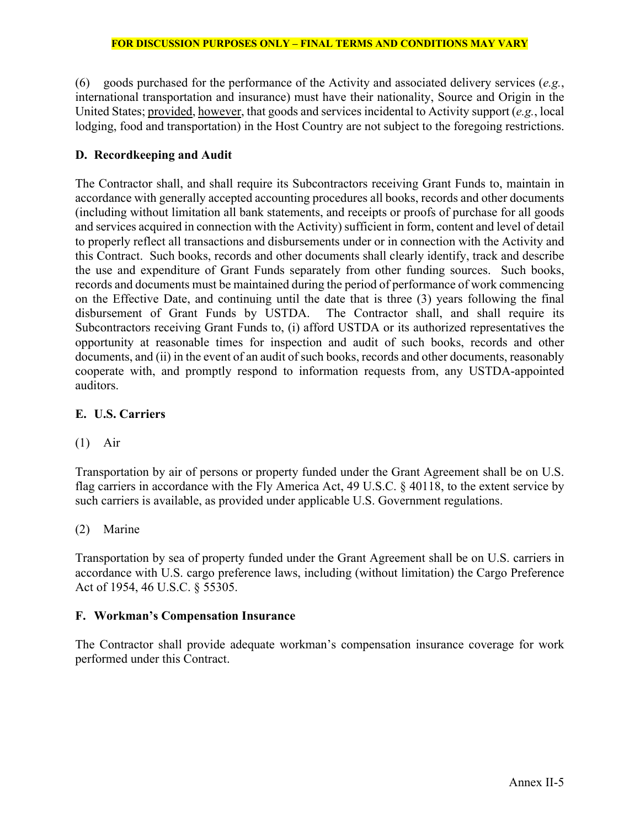(6) goods purchased for the performance of the Activity and associated delivery services (*e.g.*, international transportation and insurance) must have their nationality, Source and Origin in the United States; provided, however, that goods and services incidental to Activity support (*e.g.*, local lodging, food and transportation) in the Host Country are not subject to the foregoing restrictions.

# **D. Recordkeeping and Audit**

The Contractor shall, and shall require its Subcontractors receiving Grant Funds to, maintain in accordance with generally accepted accounting procedures all books, records and other documents (including without limitation all bank statements, and receipts or proofs of purchase for all goods and services acquired in connection with the Activity) sufficient in form, content and level of detail to properly reflect all transactions and disbursements under or in connection with the Activity and this Contract. Such books, records and other documents shall clearly identify, track and describe the use and expenditure of Grant Funds separately from other funding sources. Such books, records and documents must be maintained during the period of performance of work commencing on the Effective Date, and continuing until the date that is three (3) years following the final disbursement of Grant Funds by USTDA. The Contractor shall, and shall require its Subcontractors receiving Grant Funds to, (i) afford USTDA or its authorized representatives the opportunity at reasonable times for inspection and audit of such books, records and other documents, and (ii) in the event of an audit of such books, records and other documents, reasonably cooperate with, and promptly respond to information requests from, any USTDA-appointed auditors.

## **E. U.S. Carriers**

## (1) Air

Transportation by air of persons or property funded under the Grant Agreement shall be on U.S. flag carriers in accordance with the Fly America Act, 49 U.S.C. § 40118, to the extent service by such carriers is available, as provided under applicable U.S. Government regulations.

## (2) Marine

Transportation by sea of property funded under the Grant Agreement shall be on U.S. carriers in accordance with U.S. cargo preference laws, including (without limitation) the Cargo Preference Act of 1954, 46 U.S.C. § 55305.

## **F. Workman's Compensation Insurance**

The Contractor shall provide adequate workman's compensation insurance coverage for work performed under this Contract.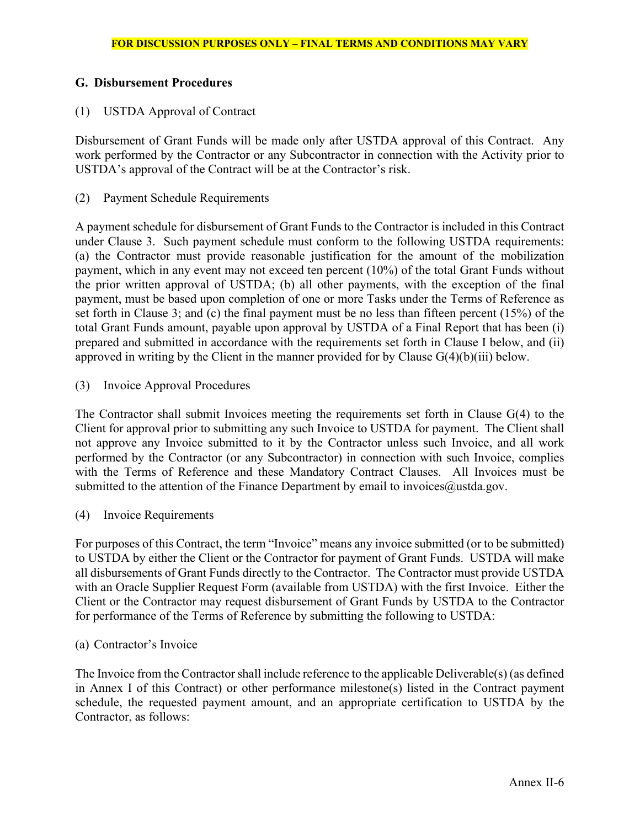## **G. Disbursement Procedures**

### (1) USTDA Approval of Contract

Disbursement of Grant Funds will be made only after USTDA approval of this Contract. Any work performed by the Contractor or any Subcontractor in connection with the Activity prior to USTDA's approval of the Contract will be at the Contractor's risk.

(2) Payment Schedule Requirements

A payment schedule for disbursement of Grant Funds to the Contractor is included in this Contract under Clause 3. Such payment schedule must conform to the following USTDA requirements: (a) the Contractor must provide reasonable justification for the amount of the mobilization payment, which in any event may not exceed ten percent (10%) of the total Grant Funds without the prior written approval of USTDA; (b) all other payments, with the exception of the final payment, must be based upon completion of one or more Tasks under the Terms of Reference as set forth in Clause 3; and (c) the final payment must be no less than fifteen percent (15%) of the total Grant Funds amount, payable upon approval by USTDA of a Final Report that has been (i) prepared and submitted in accordance with the requirements set forth in Clause I below, and (ii) approved in writing by the Client in the manner provided for by Clause  $G(4)(b)(iii)$  below.

(3) Invoice Approval Procedures

The Contractor shall submit Invoices meeting the requirements set forth in Clause G(4) to the Client for approval prior to submitting any such Invoice to USTDA for payment. The Client shall not approve any Invoice submitted to it by the Contractor unless such Invoice, and all work performed by the Contractor (or any Subcontractor) in connection with such Invoice, complies with the Terms of Reference and these Mandatory Contract Clauses. All Invoices must be submitted to the attention of the Finance Department by email to invoices $@$ ustda.gov.

(4) Invoice Requirements

For purposes of this Contract, the term "Invoice" means any invoice submitted (or to be submitted) to USTDA by either the Client or the Contractor for payment of Grant Funds. USTDA will make all disbursements of Grant Funds directly to the Contractor. The Contractor must provide USTDA with an Oracle Supplier Request Form (available from USTDA) with the first Invoice. Either the Client or the Contractor may request disbursement of Grant Funds by USTDA to the Contractor for performance of the Terms of Reference by submitting the following to USTDA:

(a) Contractor's Invoice

The Invoice from the Contractor shall include reference to the applicable Deliverable(s) (as defined in Annex I of this Contract) or other performance milestone(s) listed in the Contract payment schedule, the requested payment amount, and an appropriate certification to USTDA by the Contractor, as follows: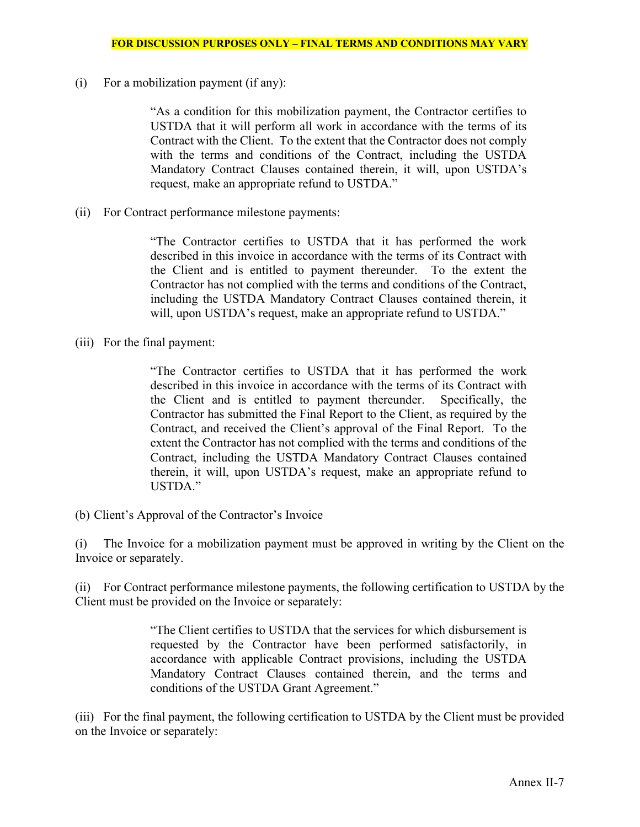(i) For a mobilization payment (if any):

"As a condition for this mobilization payment, the Contractor certifies to USTDA that it will perform all work in accordance with the terms of its Contract with the Client. To the extent that the Contractor does not comply with the terms and conditions of the Contract, including the USTDA Mandatory Contract Clauses contained therein, it will, upon USTDA's request, make an appropriate refund to USTDA."

(ii) For Contract performance milestone payments:

"The Contractor certifies to USTDA that it has performed the work described in this invoice in accordance with the terms of its Contract with the Client and is entitled to payment thereunder. To the extent the Contractor has not complied with the terms and conditions of the Contract, including the USTDA Mandatory Contract Clauses contained therein, it will, upon USTDA's request, make an appropriate refund to USTDA."

(iii) For the final payment:

"The Contractor certifies to USTDA that it has performed the work described in this invoice in accordance with the terms of its Contract with the Client and is entitled to payment thereunder. Specifically, the Contractor has submitted the Final Report to the Client, as required by the Contract, and received the Client's approval of the Final Report. To the extent the Contractor has not complied with the terms and conditions of the Contract, including the USTDA Mandatory Contract Clauses contained therein, it will, upon USTDA's request, make an appropriate refund to USTDA."

(b) Client's Approval of the Contractor's Invoice

(i) The Invoice for a mobilization payment must be approved in writing by the Client on the Invoice or separately.

(ii) For Contract performance milestone payments, the following certification to USTDA by the Client must be provided on the Invoice or separately:

> "The Client certifies to USTDA that the services for which disbursement is requested by the Contractor have been performed satisfactorily, in accordance with applicable Contract provisions, including the USTDA Mandatory Contract Clauses contained therein, and the terms and conditions of the USTDA Grant Agreement."

(iii) For the final payment, the following certification to USTDA by the Client must be provided on the Invoice or separately: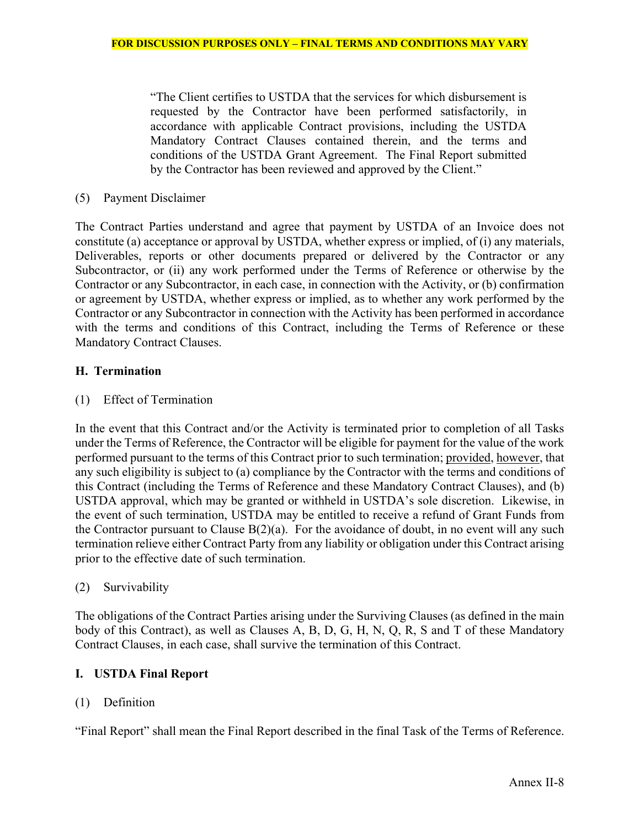"The Client certifies to USTDA that the services for which disbursement is requested by the Contractor have been performed satisfactorily, in accordance with applicable Contract provisions, including the USTDA Mandatory Contract Clauses contained therein, and the terms and conditions of the USTDA Grant Agreement. The Final Report submitted by the Contractor has been reviewed and approved by the Client."

### (5) Payment Disclaimer

The Contract Parties understand and agree that payment by USTDA of an Invoice does not constitute (a) acceptance or approval by USTDA, whether express or implied, of (i) any materials, Deliverables, reports or other documents prepared or delivered by the Contractor or any Subcontractor, or (ii) any work performed under the Terms of Reference or otherwise by the Contractor or any Subcontractor, in each case, in connection with the Activity, or (b) confirmation or agreement by USTDA, whether express or implied, as to whether any work performed by the Contractor or any Subcontractor in connection with the Activity has been performed in accordance with the terms and conditions of this Contract, including the Terms of Reference or these Mandatory Contract Clauses.

### **H. Termination**

(1) Effect of Termination

In the event that this Contract and/or the Activity is terminated prior to completion of all Tasks under the Terms of Reference, the Contractor will be eligible for payment for the value of the work performed pursuant to the terms of this Contract prior to such termination; provided, however, that any such eligibility is subject to (a) compliance by the Contractor with the terms and conditions of this Contract (including the Terms of Reference and these Mandatory Contract Clauses), and (b) USTDA approval, which may be granted or withheld in USTDA's sole discretion. Likewise, in the event of such termination, USTDA may be entitled to receive a refund of Grant Funds from the Contractor pursuant to Clause  $B(2)(a)$ . For the avoidance of doubt, in no event will any such termination relieve either Contract Party from any liability or obligation under this Contract arising prior to the effective date of such termination.

## (2) Survivability

The obligations of the Contract Parties arising under the Surviving Clauses (as defined in the main body of this Contract), as well as Clauses A, B, D, G, H, N, Q, R, S and T of these Mandatory Contract Clauses, in each case, shall survive the termination of this Contract.

## **I. USTDA Final Report**

## (1) Definition

"Final Report" shall mean the Final Report described in the final Task of the Terms of Reference.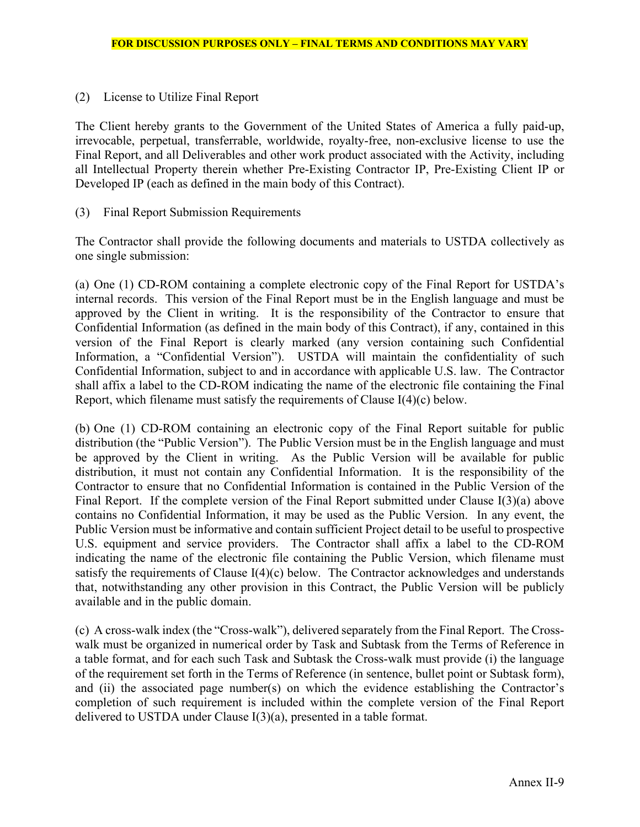(2) License to Utilize Final Report

The Client hereby grants to the Government of the United States of America a fully paid-up, irrevocable, perpetual, transferrable, worldwide, royalty-free, non-exclusive license to use the Final Report, and all Deliverables and other work product associated with the Activity, including all Intellectual Property therein whether Pre-Existing Contractor IP, Pre-Existing Client IP or Developed IP (each as defined in the main body of this Contract).

(3) Final Report Submission Requirements

The Contractor shall provide the following documents and materials to USTDA collectively as one single submission:

(a) One (1) CD-ROM containing a complete electronic copy of the Final Report for USTDA's internal records. This version of the Final Report must be in the English language and must be approved by the Client in writing. It is the responsibility of the Contractor to ensure that Confidential Information (as defined in the main body of this Contract), if any, contained in this version of the Final Report is clearly marked (any version containing such Confidential Information, a "Confidential Version"). USTDA will maintain the confidentiality of such Confidential Information, subject to and in accordance with applicable U.S. law. The Contractor shall affix a label to the CD-ROM indicating the name of the electronic file containing the Final Report, which filename must satisfy the requirements of Clause I(4)(c) below.

(b) One (1) CD-ROM containing an electronic copy of the Final Report suitable for public distribution (the "Public Version"). The Public Version must be in the English language and must be approved by the Client in writing. As the Public Version will be available for public distribution, it must not contain any Confidential Information. It is the responsibility of the Contractor to ensure that no Confidential Information is contained in the Public Version of the Final Report. If the complete version of the Final Report submitted under Clause I(3)(a) above contains no Confidential Information, it may be used as the Public Version. In any event, the Public Version must be informative and contain sufficient Project detail to be useful to prospective U.S. equipment and service providers. The Contractor shall affix a label to the CD-ROM indicating the name of the electronic file containing the Public Version, which filename must satisfy the requirements of Clause I(4)(c) below. The Contractor acknowledges and understands that, notwithstanding any other provision in this Contract, the Public Version will be publicly available and in the public domain.

(c) A cross-walk index (the "Cross-walk"), delivered separately from the Final Report. The Crosswalk must be organized in numerical order by Task and Subtask from the Terms of Reference in a table format, and for each such Task and Subtask the Cross-walk must provide (i) the language of the requirement set forth in the Terms of Reference (in sentence, bullet point or Subtask form), and (ii) the associated page number(s) on which the evidence establishing the Contractor's completion of such requirement is included within the complete version of the Final Report delivered to USTDA under Clause I(3)(a), presented in a table format.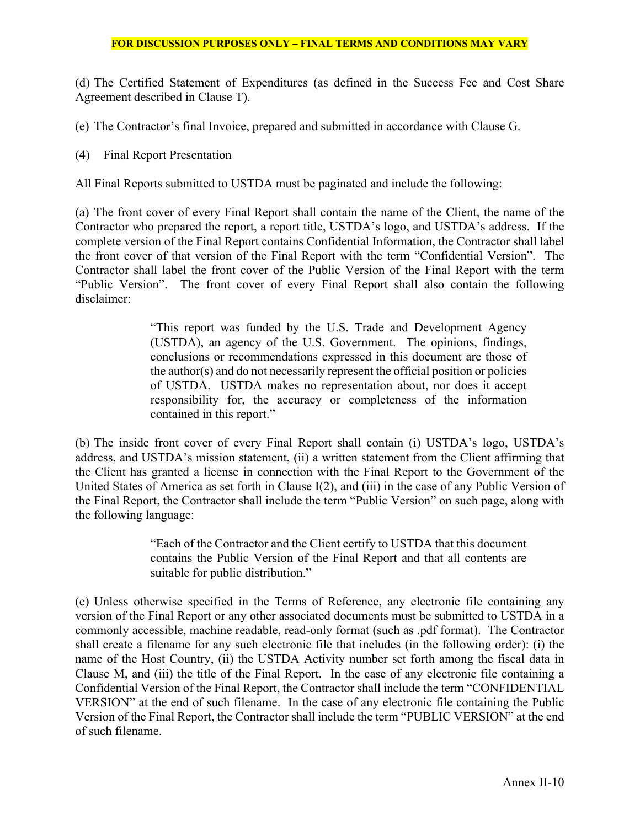(d) The Certified Statement of Expenditures (as defined in the Success Fee and Cost Share Agreement described in Clause T).

(e) The Contractor's final Invoice, prepared and submitted in accordance with Clause G.

(4) Final Report Presentation

All Final Reports submitted to USTDA must be paginated and include the following:

(a) The front cover of every Final Report shall contain the name of the Client, the name of the Contractor who prepared the report, a report title, USTDA's logo, and USTDA's address. If the complete version of the Final Report contains Confidential Information, the Contractor shall label the front cover of that version of the Final Report with the term "Confidential Version". The Contractor shall label the front cover of the Public Version of the Final Report with the term "Public Version". The front cover of every Final Report shall also contain the following disclaimer:

> "This report was funded by the U.S. Trade and Development Agency (USTDA), an agency of the U.S. Government. The opinions, findings, conclusions or recommendations expressed in this document are those of the author(s) and do not necessarily represent the official position or policies of USTDA. USTDA makes no representation about, nor does it accept responsibility for, the accuracy or completeness of the information contained in this report."

(b) The inside front cover of every Final Report shall contain (i) USTDA's logo, USTDA's address, and USTDA's mission statement, (ii) a written statement from the Client affirming that the Client has granted a license in connection with the Final Report to the Government of the United States of America as set forth in Clause I(2), and (iii) in the case of any Public Version of the Final Report, the Contractor shall include the term "Public Version" on such page, along with the following language:

> "Each of the Contractor and the Client certify to USTDA that this document contains the Public Version of the Final Report and that all contents are suitable for public distribution."

(c) Unless otherwise specified in the Terms of Reference, any electronic file containing any version of the Final Report or any other associated documents must be submitted to USTDA in a commonly accessible, machine readable, read-only format (such as .pdf format). The Contractor shall create a filename for any such electronic file that includes (in the following order): (i) the name of the Host Country, (ii) the USTDA Activity number set forth among the fiscal data in Clause M, and (iii) the title of the Final Report. In the case of any electronic file containing a Confidential Version of the Final Report, the Contractor shall include the term "CONFIDENTIAL VERSION" at the end of such filename. In the case of any electronic file containing the Public Version of the Final Report, the Contractor shall include the term "PUBLIC VERSION" at the end of such filename.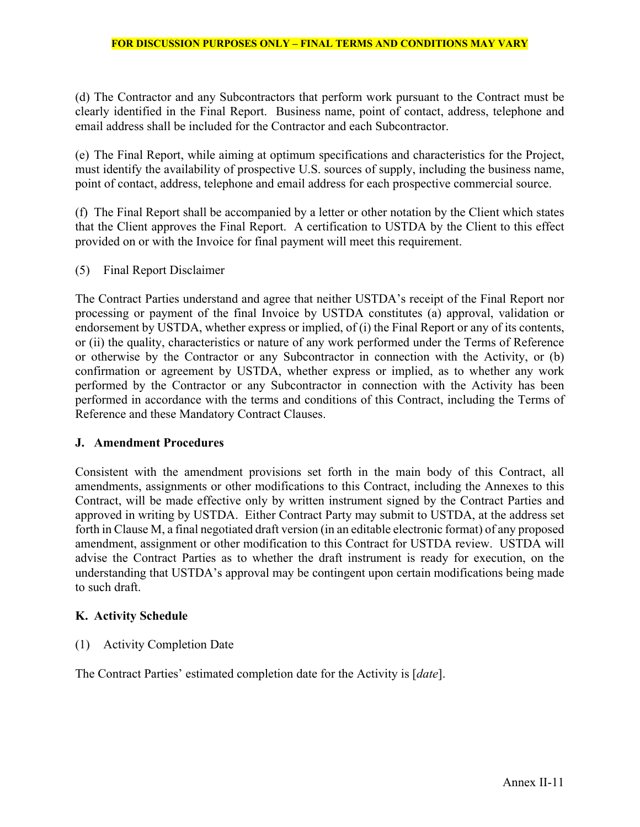(d) The Contractor and any Subcontractors that perform work pursuant to the Contract must be clearly identified in the Final Report. Business name, point of contact, address, telephone and email address shall be included for the Contractor and each Subcontractor.

(e) The Final Report, while aiming at optimum specifications and characteristics for the Project, must identify the availability of prospective U.S. sources of supply, including the business name, point of contact, address, telephone and email address for each prospective commercial source.

(f) The Final Report shall be accompanied by a letter or other notation by the Client which states that the Client approves the Final Report. A certification to USTDA by the Client to this effect provided on or with the Invoice for final payment will meet this requirement.

(5) Final Report Disclaimer

The Contract Parties understand and agree that neither USTDA's receipt of the Final Report nor processing or payment of the final Invoice by USTDA constitutes (a) approval, validation or endorsement by USTDA, whether express or implied, of (i) the Final Report or any of its contents, or (ii) the quality, characteristics or nature of any work performed under the Terms of Reference or otherwise by the Contractor or any Subcontractor in connection with the Activity, or (b) confirmation or agreement by USTDA, whether express or implied, as to whether any work performed by the Contractor or any Subcontractor in connection with the Activity has been performed in accordance with the terms and conditions of this Contract, including the Terms of Reference and these Mandatory Contract Clauses.

### **J. Amendment Procedures**

Consistent with the amendment provisions set forth in the main body of this Contract, all amendments, assignments or other modifications to this Contract, including the Annexes to this Contract, will be made effective only by written instrument signed by the Contract Parties and approved in writing by USTDA. Either Contract Party may submit to USTDA, at the address set forth in Clause M, a final negotiated draft version (in an editable electronic format) of any proposed amendment, assignment or other modification to this Contract for USTDA review. USTDA will advise the Contract Parties as to whether the draft instrument is ready for execution, on the understanding that USTDA's approval may be contingent upon certain modifications being made to such draft.

### **K. Activity Schedule**

(1) Activity Completion Date

The Contract Parties' estimated completion date for the Activity is [*date*].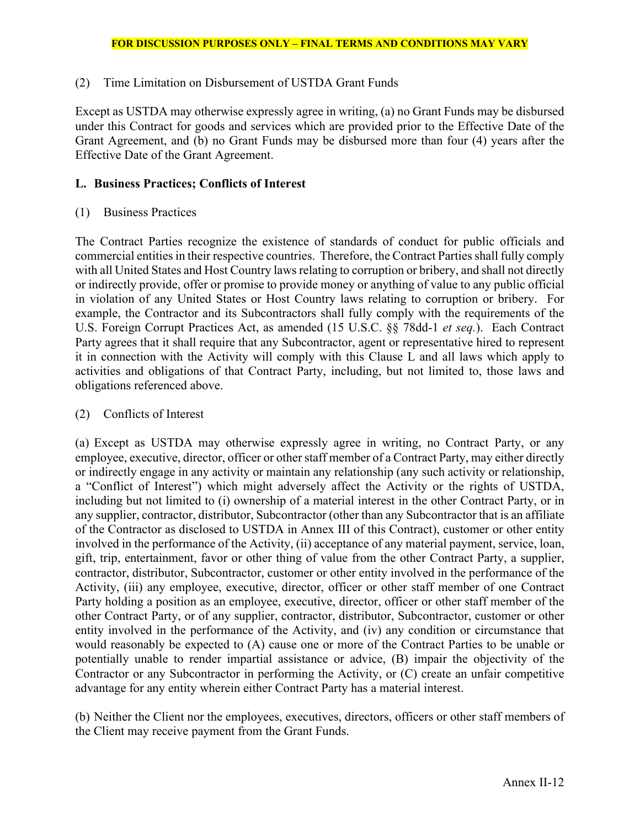## (2) Time Limitation on Disbursement of USTDA Grant Funds

Except as USTDA may otherwise expressly agree in writing, (a) no Grant Funds may be disbursed under this Contract for goods and services which are provided prior to the Effective Date of the Grant Agreement, and (b) no Grant Funds may be disbursed more than four (4) years after the Effective Date of the Grant Agreement.

## **L. Business Practices; Conflicts of Interest**

### (1) Business Practices

The Contract Parties recognize the existence of standards of conduct for public officials and commercial entities in their respective countries. Therefore, the Contract Parties shall fully comply with all United States and Host Country laws relating to corruption or bribery, and shall not directly or indirectly provide, offer or promise to provide money or anything of value to any public official in violation of any United States or Host Country laws relating to corruption or bribery. For example, the Contractor and its Subcontractors shall fully comply with the requirements of the U.S. Foreign Corrupt Practices Act, as amended (15 U.S.C. §§ 78dd-1 *et seq.*). Each Contract Party agrees that it shall require that any Subcontractor, agent or representative hired to represent it in connection with the Activity will comply with this Clause L and all laws which apply to activities and obligations of that Contract Party, including, but not limited to, those laws and obligations referenced above.

### (2) Conflicts of Interest

(a) Except as USTDA may otherwise expressly agree in writing, no Contract Party, or any employee, executive, director, officer or other staff member of a Contract Party, may either directly or indirectly engage in any activity or maintain any relationship (any such activity or relationship, a "Conflict of Interest") which might adversely affect the Activity or the rights of USTDA, including but not limited to (i) ownership of a material interest in the other Contract Party, or in any supplier, contractor, distributor, Subcontractor (other than any Subcontractor that is an affiliate of the Contractor as disclosed to USTDA in Annex III of this Contract), customer or other entity involved in the performance of the Activity, (ii) acceptance of any material payment, service, loan, gift, trip, entertainment, favor or other thing of value from the other Contract Party, a supplier, contractor, distributor, Subcontractor, customer or other entity involved in the performance of the Activity, (iii) any employee, executive, director, officer or other staff member of one Contract Party holding a position as an employee, executive, director, officer or other staff member of the other Contract Party, or of any supplier, contractor, distributor, Subcontractor, customer or other entity involved in the performance of the Activity, and (iv) any condition or circumstance that would reasonably be expected to (A) cause one or more of the Contract Parties to be unable or potentially unable to render impartial assistance or advice, (B) impair the objectivity of the Contractor or any Subcontractor in performing the Activity, or (C) create an unfair competitive advantage for any entity wherein either Contract Party has a material interest.

(b) Neither the Client nor the employees, executives, directors, officers or other staff members of the Client may receive payment from the Grant Funds.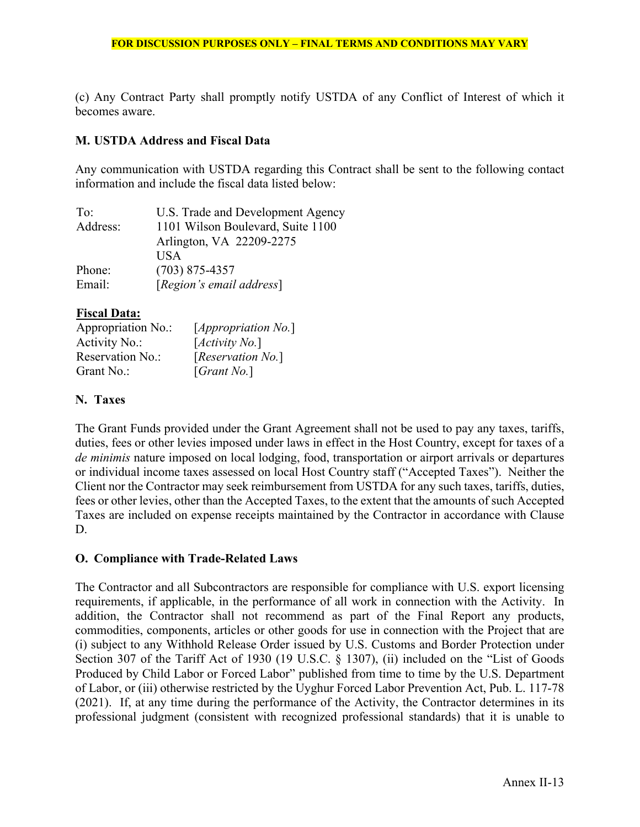(c) Any Contract Party shall promptly notify USTDA of any Conflict of Interest of which it becomes aware.

### **M. USTDA Address and Fiscal Data**

Any communication with USTDA regarding this Contract shall be sent to the following contact information and include the fiscal data listed below:

| To:      | U.S. Trade and Development Agency |
|----------|-----------------------------------|
| Address: | 1101 Wilson Boulevard, Suite 1100 |
|          | Arlington, VA 22209-2275          |
|          | USA                               |
| Phone:   | $(703)$ 875-4357                  |
| Email:   | [Region's email address]          |

### **Fiscal Data:**

| Appropriation No.:      | [ <i>Appropriation No.</i> ] |
|-------------------------|------------------------------|
| Activity No.:           | [Activity No.]               |
| <b>Reservation No.:</b> | [Reservation No.]            |
| Grant No.:              | [ <i>Grant No.</i> ]         |

### **N. Taxes**

The Grant Funds provided under the Grant Agreement shall not be used to pay any taxes, tariffs, duties, fees or other levies imposed under laws in effect in the Host Country, except for taxes of a *de minimis* nature imposed on local lodging, food, transportation or airport arrivals or departures or individual income taxes assessed on local Host Country staff ("Accepted Taxes"). Neither the Client nor the Contractor may seek reimbursement from USTDA for any such taxes, tariffs, duties, fees or other levies, other than the Accepted Taxes, to the extent that the amounts of such Accepted Taxes are included on expense receipts maintained by the Contractor in accordance with Clause D.

## **O. Compliance with Trade-Related Laws**

The Contractor and all Subcontractors are responsible for compliance with U.S. export licensing requirements, if applicable, in the performance of all work in connection with the Activity. In addition, the Contractor shall not recommend as part of the Final Report any products, commodities, components, articles or other goods for use in connection with the Project that are (i) subject to any Withhold Release Order issued by U.S. Customs and Border Protection under Section 307 of the Tariff Act of 1930 (19 U.S.C. § 1307), (ii) included on the "List of Goods Produced by Child Labor or Forced Labor" published from time to time by the U.S. Department of Labor, or (iii) otherwise restricted by the Uyghur Forced Labor Prevention Act, Pub. L. 117-78 (2021). If, at any time during the performance of the Activity, the Contractor determines in its professional judgment (consistent with recognized professional standards) that it is unable to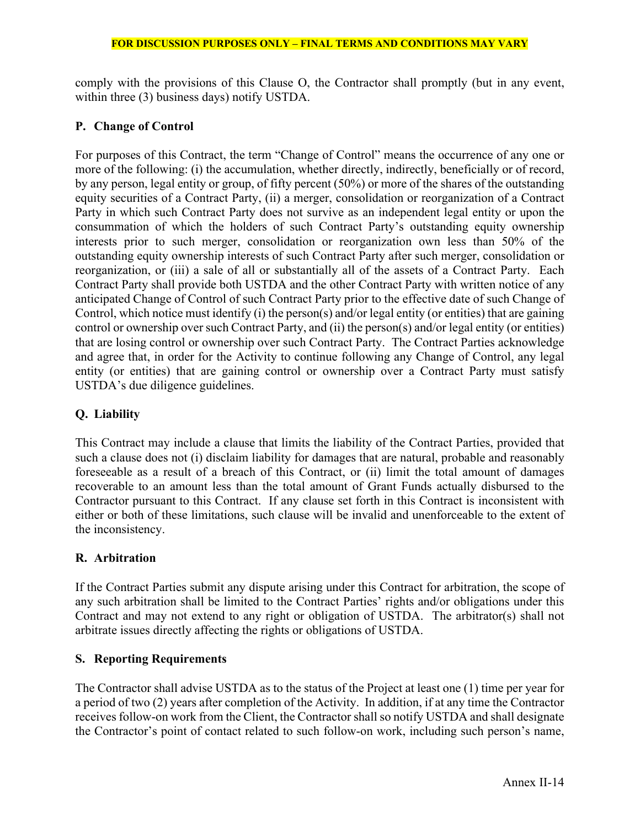comply with the provisions of this Clause O, the Contractor shall promptly (but in any event, within three (3) business days) notify USTDA.

### **P. Change of Control**

For purposes of this Contract, the term "Change of Control" means the occurrence of any one or more of the following: (i) the accumulation, whether directly, indirectly, beneficially or of record, by any person, legal entity or group, of fifty percent (50%) or more of the shares of the outstanding equity securities of a Contract Party, (ii) a merger, consolidation or reorganization of a Contract Party in which such Contract Party does not survive as an independent legal entity or upon the consummation of which the holders of such Contract Party's outstanding equity ownership interests prior to such merger, consolidation or reorganization own less than 50% of the outstanding equity ownership interests of such Contract Party after such merger, consolidation or reorganization, or (iii) a sale of all or substantially all of the assets of a Contract Party. Each Contract Party shall provide both USTDA and the other Contract Party with written notice of any anticipated Change of Control of such Contract Party prior to the effective date of such Change of Control, which notice must identify (i) the person(s) and/or legal entity (or entities) that are gaining control or ownership over such Contract Party, and (ii) the person(s) and/or legal entity (or entities) that are losing control or ownership over such Contract Party. The Contract Parties acknowledge and agree that, in order for the Activity to continue following any Change of Control, any legal entity (or entities) that are gaining control or ownership over a Contract Party must satisfy USTDA's due diligence guidelines.

# **Q. Liability**

This Contract may include a clause that limits the liability of the Contract Parties, provided that such a clause does not (i) disclaim liability for damages that are natural, probable and reasonably foreseeable as a result of a breach of this Contract, or (ii) limit the total amount of damages recoverable to an amount less than the total amount of Grant Funds actually disbursed to the Contractor pursuant to this Contract. If any clause set forth in this Contract is inconsistent with either or both of these limitations, such clause will be invalid and unenforceable to the extent of the inconsistency.

## **R. Arbitration**

If the Contract Parties submit any dispute arising under this Contract for arbitration, the scope of any such arbitration shall be limited to the Contract Parties' rights and/or obligations under this Contract and may not extend to any right or obligation of USTDA. The arbitrator(s) shall not arbitrate issues directly affecting the rights or obligations of USTDA.

### **S. Reporting Requirements**

The Contractor shall advise USTDA as to the status of the Project at least one (1) time per year for a period of two (2) years after completion of the Activity. In addition, if at any time the Contractor receives follow-on work from the Client, the Contractor shall so notify USTDA and shall designate the Contractor's point of contact related to such follow-on work, including such person's name,